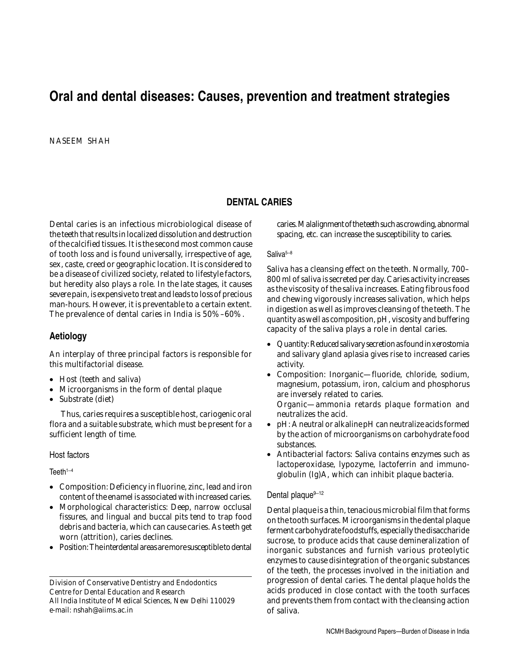# **Oral and dental diseases: Causes, prevention and treatment strategies**

NASEEM SHAH

### **DENTAL CARIES**

Dental caries is an infectious microbiological disease of the teeth that results in localized dissolution and destruction of the calcified tissues. It is the second most common cause of tooth loss and is found universally, irrespective of age, sex, caste, creed or geographic location. It is considered to be a disease of civilized society, related to lifestyle factors, but heredity also plays a role. In the late stages, it causes severe pain, is expensive to treat and leads to loss of precious man-hours. However, it is preventable to a certain extent. The prevalence of dental caries in India is 50%–60%.

### **Aetiology**

An interplay of three principal factors is responsible for this multifactorial disease.

- Host (teeth and saliva)
- Microorganisms in the form of dental plaque
- Substrate (diet)

 Thus, caries requires a susceptible host, cariogenic oral flora and a suitable substrate, which must be present for a sufficient length of time.

#### Host factors

 $Teeth^{1-4}$ 

- *Composition:* Deficiency in fluorine, zinc, lead and iron content of the enamel is associated with increased caries.
- *Morphological characteristics:* Deep, narrow occlusal fissures, and lingual and buccal pits tend to trap food debris and bacteria, which can cause caries. As teeth get worn (attrition), caries declines.
- *Position:* The interdental areas are more susceptible to dental

Division of Conservative Dentistry and Endodontics Centre for Dental Education and Research All India Institute of Medical Sciences, New Delhi 110029 e-mail: nshah@aiims.ac.in

caries. Malalignment of the teeth such as crowding, abnormal spacing, etc. can increase the susceptibility to caries.

#### Saliva<sup>5–8</sup>

Saliva has a cleansing effect on the teeth. Normally, 700– 800 ml of saliva is secreted per day. Caries activity increases as the viscosity of the saliva increases. Eating fibrous food and chewing vigorously increases salivation, which helps in digestion as well as improves cleansing of the teeth. The quantity as well as composition, pH, viscosity and buffering capacity of the saliva plays a role in dental caries.

- *Quantity:* Reduced salivary secretion as found in xerostomia and salivary gland aplasia gives rise to increased caries activity.
- *Composition:* Inorganic—fluoride, chloride, sodium, magnesium, potassium, iron, calcium and phosphorus are inversely related to caries.

Organic—ammonia retards plaque formation and neutralizes the acid.

- *pH:* A neutral or alkaline pH can neutralize acids formed by the action of microorganisms on carbohydrate food substances.
- *Antibacterial factors:* Saliva contains enzymes such as lactoperoxidase, lypozyme, lactoferrin and immunoglobulin (Ig)A, which can inhibit plaque bacteria.

#### Dental plaque $9-12$

Dental plaque is a thin, tenacious microbial film that forms on the tooth surfaces. Microorganisms in the dental plaque ferment carbohydrate foodstuffs, especially the disaccharide sucrose, to produce acids that cause demineralization of inorganic substances and furnish various proteolytic enzymes to cause disintegration of the organic substances of the teeth, the processes involved in the initiation and progression of dental caries. The dental plaque holds the acids produced in close contact with the tooth surfaces and prevents them from contact with the cleansing action of saliva.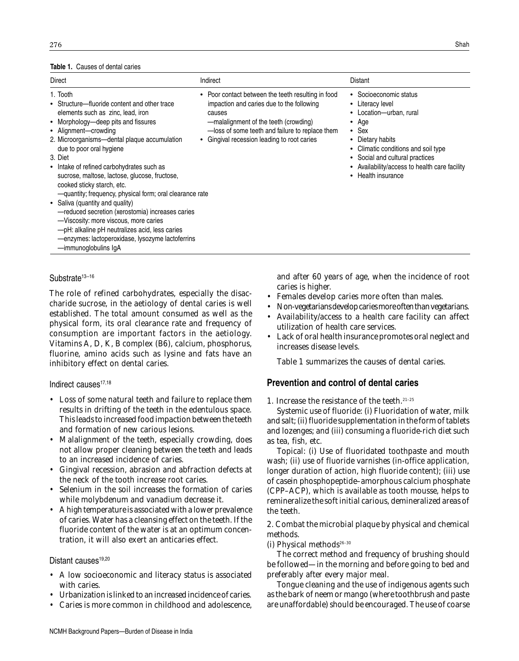#### **Table 1.** Causes of dental caries

| Direct                                                                                                                                                                                                                                                                                                                                                                                                                                                                                                                                                                                                                                                                            | Indirect                                                                                                                                                                                                                                             | Distant                                                                                                                                                                                                                                                                           |
|-----------------------------------------------------------------------------------------------------------------------------------------------------------------------------------------------------------------------------------------------------------------------------------------------------------------------------------------------------------------------------------------------------------------------------------------------------------------------------------------------------------------------------------------------------------------------------------------------------------------------------------------------------------------------------------|------------------------------------------------------------------------------------------------------------------------------------------------------------------------------------------------------------------------------------------------------|-----------------------------------------------------------------------------------------------------------------------------------------------------------------------------------------------------------------------------------------------------------------------------------|
| 1. Tooth<br>• Structure—fluoride content and other trace<br>elements such as zinc, lead, iron<br>• Morphology-deep pits and fissures<br>• Alignment-crowding<br>2. Microorganisms-dental plaque accumulation<br>due to poor oral hygiene<br>3. Diet<br>• Intake of refined carbohydrates such as<br>sucrose, maltose, lactose, glucose, fructose,<br>cooked sticky starch, etc.<br>-quantity; frequency, physical form; oral clearance rate<br>• Saliva (quantity and quality)<br>-reduced secretion (xerostomia) increases caries<br>-Viscosity: more viscous, more caries<br>-pH: alkaline pH neutralizes acid, less caries<br>-enzymes: lactoperoxidase, lysozyme lactoferrins | • Poor contact between the teeth resulting in food<br>impaction and caries due to the following<br>causes<br>-malalignment of the teeth (crowding)<br>-loss of some teeth and failure to replace them<br>• Gingival recession leading to root caries | • Socioeconomic status<br>Literacy level<br>٠<br>• Location-urban, rural<br>Age<br>٠<br>$\bullet$ Sex<br>Dietary habits<br>٠<br>Climatic conditions and soil type<br>٠<br>• Social and cultural practices<br>Availability/access to health care facility<br>Health insurance<br>٠ |

·immunoglobulins IgA

#### Substrate<sup>13-16</sup>

The role of refined carbohydrates, especially the disaccharide sucrose, in the aetiology of dental caries is well established. The total amount consumed as well as the physical form, its oral clearance rate and frequency of consumption are important factors in the aetiology. Vitamins A, D, K, B complex (B6), calcium, phosphorus, fluorine, amino acids such as lysine and fats have an inhibitory effect on dental caries.

#### Indirect causes<sup>17,18</sup>

- Loss of some natural teeth and failure to replace them results in drifting of the teeth in the edentulous space. This leads to increased food impaction between the teeth and formation of new carious lesions.
- Malalignment of the teeth, especially crowding, does not allow proper cleaning between the teeth and leads to an increased incidence of caries.
- Gingival recession, abrasion and abfraction defects at the neck of the tooth increase root caries.
- Selenium in the soil increases the formation of caries while molybdenum and vanadium decrease it.
- A high temperature is associated with a lower prevalence of caries. Water has a cleansing effect on the teeth. If the fluoride content of the water is at an optimum concentration, it will also exert an anticaries effect.

#### Distant causes<sup>19,20</sup>

- A low socioeconomic and literacy status is associated with caries.
- Urbanization is linked to an increased incidence of caries.
- Caries is more common in childhood and adolescence,

and after 60 years of age, when the incidence of root caries is higher.

- Females develop caries more often than males.
- Non-vegetarians develop caries more often than vegetarians.
- Availability/access to a health care facility can affect utilization of health care services.
- Lack of oral health insurance promotes oral neglect and increases disease levels.

Table 1 summarizes the causes of dental caries.

#### **Prevention and control of dental caries**

1. Increase the resistance of the teeth.21–25

*Systemic use of fluoride:* (i) Fluoridation of water, milk and salt; (ii) fluoride supplementation in the form of tablets and lozenges; and (iii) consuming a fluoride-rich diet such as tea, fish, etc.

*Topical:* (i) Use of fluoridated toothpaste and mouth wash; (ii) use of fluoride varnishes (in-office application, longer duration of action, high fluoride content); (iii) use of casein phosphopeptide–amorphous calcium phosphate (CPP–ACP), which is available as tooth mousse, helps to remineralize the soft initial carious, demineralized areas of the teeth.

2. Combat the microbial plaque by physical and chemical methods.

(i) *Physical methods*26–30

The correct method and frequency of brushing should be followed—in the morning and before going to bed and preferably after every major meal.

Tongue cleaning and the use of indigenous agents such as the bark of neem or mango (where toothbrush and paste are unaffordable) should be encouraged. The use of coarse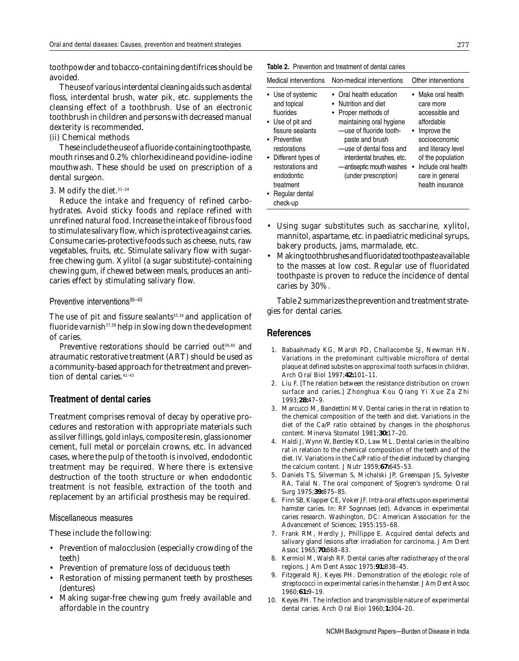toothpowder and tobacco-containing dentifrices should be avoided.

The use of various interdental cleaning aids such as dental floss, interdental brush, water pik, etc. supplements the cleansing effect of a toothbrush. Use of an electronic toothbrush in children and persons with decreased manual dexterity is recommended.

#### (ii) *Chemical methods*

These include the use of a fluoride-containing toothpaste, mouth rinses and 0.2% chlorhexidine and povidine–iodine mouthwash. These should be used on prescription of a dental surgeon.

#### 3. Modify the diet.31–34

Reduce the intake and frequency of refined carbohydrates. Avoid sticky foods and replace refined with unrefined natural food. Increase the intake of fibrous food to stimulate salivary flow, which is protective against caries. Consume caries-protective foods such as cheese, nuts, raw vegetables, fruits, etc. Stimulate salivary flow with sugarfree chewing gum. Xylitol (a sugar substitute)-containing chewing gum, if chewed between meals, produces an anticaries effect by stimulating salivary flow.

#### Preventive interventions<sup>35-43</sup>

The use of pit and fissure sealants $35,36$  and application of fluoride varnish<sup>37,38</sup> help in slowing down the development of caries.

Preventive restorations should be carried out<sup>39,40</sup> and atraumatic restorative treatment (ART) should be used as a community-based approach for the treatment and prevention of dental caries.<sup>41-43</sup>

### **Treatment of dental caries**

Treatment comprises removal of decay by operative procedures and restoration with appropriate materials such as silver fillings, gold inlays, composite resin, glass ionomer cement, full metal or porcelain crowns, etc. In advanced cases, where the pulp of the tooth is involved, endodontic treatment may be required. Where there is extensive destruction of the tooth structure or when endodontic treatment is not feasible, extraction of the tooth and replacement by an artificial prosthesis may be required.

#### Miscellaneous measures

These include the following:

- Prevention of malocclusion (especially crowding of the teeth)
- Prevention of premature loss of deciduous teeth
- Restoration of missing permanent teeth by prostheses (dentures)
- Making sugar-free chewing gum freely available and affordable in the country

| Medical interventions                                                                                                                                                                                                        | Non-medical interventions                                                                                                                                                                                                                                     | Other interventions                                                                                                                                                                                    |
|------------------------------------------------------------------------------------------------------------------------------------------------------------------------------------------------------------------------------|---------------------------------------------------------------------------------------------------------------------------------------------------------------------------------------------------------------------------------------------------------------|--------------------------------------------------------------------------------------------------------------------------------------------------------------------------------------------------------|
| • Use of systemic<br>and topical<br>fluorides<br>• Use of pit and<br>fissure sealants<br>• Preventive<br>restorations<br>• Different types of<br>restorations and<br>endodontic<br>treatment<br>• Regular dental<br>check-up | • Oral health education<br>• Nutrition and diet<br>• Proper methods of<br>maintaining oral hygiene<br>-use of fluoride tooth-<br>paste and brush<br>-use of dental floss and<br>interdental brushes, etc.<br>-antiseptic mouth washes<br>(under prescription) | Make oral health<br>care more<br>accessible and<br>affordable<br>Improve the<br>socioeconomic<br>and literacy level<br>of the population<br>Include oral health<br>care in general<br>health insurance |

**Table 2.** Prevention and treatment of dental caries

- Using sugar substitutes such as saccharine, xylitol, mannitol, aspartame, etc. in paediatric medicinal syrups, bakery products, jams, marmalade, etc.
- Making toothbrushes and fluoridated toothpaste available to the masses at low cost. Regular use of fluoridated toothpaste is proven to reduce the incidence of dental caries by 30%.

Table 2 summarizes the prevention and treatment strategies for dental caries.

#### **References**

- 1. Babaahmady KG, Marsh PD, Challacombe SJ, Newman HN. Variations in the predominant cultivable microflora of dental plaque at defined subsites on approximal tooth surfaces in children. *Arch Oral Biol* 1997;**42:**101–11.
- 2. Liu F. [The relation between the resistance distribution on crown surface and caries.] *Zhonghua Kou Qiang Yi Xue Za Zhi* 1993;**28:**47–9.
- 3. Marcucci M, Bandettini MV. Dental caries in the rat in relation to the chemical composition of the teeth and diet. Variations in the diet of the Ca/P ratio obtained by changes in the phosphorus content. *Minerva Stomatol* 1981;**30:**17–20.
- 4. Haldi J, Wynn W, Bentley KD, Law ML. Dental caries in the albino rat in relation to the chemical composition of the teeth and of the diet. IV. Variations in the Ca/P ratio of the diet induced by changing the calcium content. *J Nutr* 1959;**67:**645–53.
- 5. Daniels TS, Silverman S, Michalski JP, Greenspan JS, Sylvester RA, Talal N. The oral component of Sjogren's syndrome. *Oral Surg* 1975;**39:**875–85.
- 6. Finn SB, Klapper CE, Voker JF. Intra-oral effects upon experimental hamster caries. In: RF Sognnaes (ed). *Advances in experimental caries research*. Washington, DC: American Association for the Advancement of Sciences; 1955:155–68.
- 7. Frank RM, Herdly J, Phillippe E. Acquired dental defects and salivary gland lesions after irradiation for carcinoma. *J Am Dent Assoc* 1965;**70:**868–83.
- 8. Kermiol M, Walsh RF. Dental caries after radiotherapy of the oral regions. *J Am Dent Assoc* 1975;**91:**838–45.
- 9. Fitzgerald RJ, Keyes PH. Demonstration of the etiologic role of streptococci in experimental caries in the hamster. *J Am Dent Assoc* 1960;**61:**9–19.
- 10. Keyes PH. The infection and transmissible nature of experimental dental caries. *Arch Oral Biol* 1960;**1:**304–20.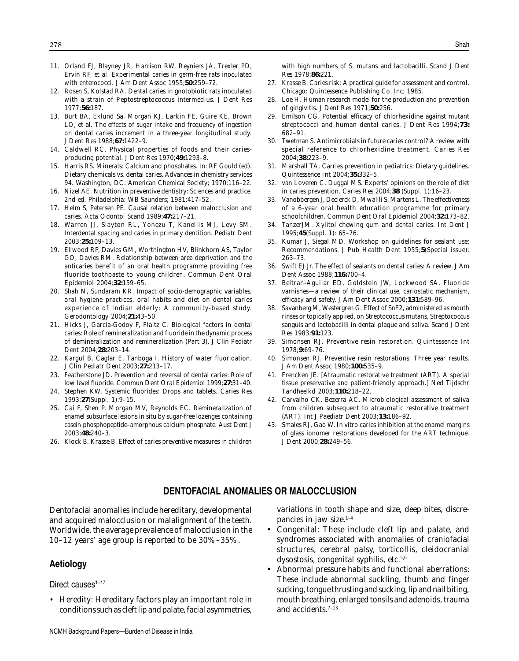- 11. Orland FJ, Blayney JR, Harrison RW, Reyniers JA, Trexler PD, Ervin RF, *et al.* Experimental caries in germ-free rats inoculated with enterococci. *J Am Dent Assoc* 1955;**50:**259–72.
- 12. Rosen S, Kolstad RA. Dental caries in gnotobiotic rats inoculated with a strain of *Peptostreptococcus intermedius*. *J Dent Res* 1977;**56:**187.
- 13. Burt BA, Eklund Sa, Morgan KJ, Larkin FE, Guire KE, Brown LO, *et al.* The effects of sugar intake and frequency of ingestion on dental caries increment in a three-year longitudinal study. *J Dent Res* 1988;**67:**1422–9.
- 14. Caldwell RC. Physical properties of foods and their cariesproducing potential. *J Dent Res* 1970;**49:**1293–8.
- 15. Harris RS. Minerals: Calcium and phosphates. In: RF Gould (ed). *Dietary chemicals vs. dental caries. Advances in chemistry services* 94. Washington, DC: American Chemical Society; 1970:116–22.
- 16. Nizel AE. *Nutrition in preventive dentistry*: *Sciences and practice*. 2nd ed. Philadelphia: WB Saunders; 1981:417–52.
- 17. Helm S, Petersen PE. Causal relation between malocclusion and caries. *Acta Odontol Scand* 1989;**47:**217–21.
- 18. Warren JJ, Slayton RL, Yonezu T, Kanellis MJ, Levy SM. Interdental spacing and caries in primary dentition. *Pediatr Dent* 2003;**25:**109–13.
- 19. Ellwood RP, Davies GM, Worthington HV, Blinkhorn AS, Taylor GO, Davies RM. Relationship between area deprivation and the anticaries benefit of an oral health programme providing free fluoride toothpaste to young children. *Commun Dent Oral Epidemiol* 2004;**32:**159–65.
- 20. Shah N, Sundaram KR. Impact of socio-demographic variables, oral hygiene practices, oral habits and diet on dental caries experience of Indian elderly: A community-based study. *Gerodontology* 2004;**21:**43–50.
- 21. Hicks J, Garcia-Godoy F, Flaitz C. Biological factors in dental caries: Role of remineralization and fluoride in the dynamic process of demineralization and remineralization (Part 3). *J Clin Pediatr Dent* 2004;**28:**203–14.
- 22. Kargul B, Caglar E, Tanboga I. History of water fluoridation. *J Clin Pediatr Dent* 2003;**27:**213–17.
- 23. Featherstone JD. Prevention and reversal of dental caries: Role of low level fluoride. *Commun Dent Oral Epidemiol* 1999;**27:**31–40.
- 24. Stephen KW. Systemic fluorides: Drops and tablets. *Caries Res* 1993;**27**(Suppl. 1):9–15.
- 25. Cai F, Shen P, Morgan MV, Reynolds EC. Remineralization of enamel subsurface lesions in situ by sugar-free lozenges containing casein phosphopeptide–amorphous calcium phosphate. *Aust Dent J* 2003;**48:**240–3.
- 26. Klock B. Krasse B. Effect of caries preventive measures in children

with high numbers of *S. mutans* and lactobacilli. *Scand J Dent Res* 1978;**86:**221.

- 27. Krasse B. *Caries risk*: *A practical guide for assessment and control*. Chicago: Quintessence Publishing Co. Inc; 1985.
- 28. Loe H. Human research model for the production and prevention of gingivitis. *J Dent Res* 1971;**50:**256.
- 29. Emilson CG. Potential efficacy of chlorhexidine against mutant streptococci and human dental caries. *J Dent Res* 1994;**73:** 682–91.
- 30. Twetman S. Antimicrobials in future caries control? A review with special reference to chlorhexidine treatment. *Caries Res* 2004;**38:**223–9.
- 31. Marshall TA. Carries prevention in pediatrics: Dietary guidelines. *Quintessence Int* 2004;**35:**332–5.
- 32. van Loveren C, Duggal MS. Experts' opinions on the role of diet in caries prevention. *Caries Res* 2004;**38** (Suppl. 1):16–23.
- 33. Vanobbergen J, Declerck D, Mwalili S, Martens L. The effectiveness of a 6-year oral health education programme for primary schoolchildren. *Commun Dent Oral Epidemiol* 2004;**32:**173–82.
- 34. TanzerJM. Xylitol chewing gum and dental caries. *Int Dent J* 1995;**45**(Suppl. 1): 65–76.
- 35. Kumar J, Siegal MD. Workshop on guidelines for sealant use: Recommendations. *J Pub Health Dent* 1955;**5**(Special issue): 263–73.
- 36. Swift EJ Jr. The effect of sealants on dental caries: A review. *J Am Dent Assoc* 1988;**116:**700–4.
- 37. Beltran-Aguilar ED, Goldstein JW, Lockwood SA. Fluoride varnishes—a review of their clinical use, cariostatic mechanism, efficacy and safety. *J Am Dent Assoc* 2000;**131:**589–96.
- 38. Savanberg M, Westergren G. Effect of SnF2, administered as mouth rinses or topically applied, on *Streptococcus mutans*, *Streptococcus sanguis* and lactobacilli in dental plaque and saliva. *Scand J Dent Res* 1983;**91:**123.
- 39. Simonsen RJ. Preventive resin restoration. *Quintessence Int* 1978;**9:**69–76.
- 40. Simonsen RJ. Preventive resin restorations: Three year results. *J Am Dent Assoc* 1980;**100:**535–9.
- 41. Frencken JE. [Atraumatic restorative treatment (ART). A special tissue preservative and patient-friendly approach.] *Ned Tijdschr Tandheelkd* 2003;**110:**218–22.
- 42. Carvalho CK, Bezerra AC. Microbiological assessment of saliva from children subsequent to atraumatic restorative treatment (ART). *Int J Paediatr Dent* 2003;**13:**186–92.
- 43. Smales RJ, Gao W. *In vitro* caries inhibition at the enamel margins of glass ionomer restorations developed for the ART technique. *J Dent* 2000;**28:**249–56.

#### **DENTOFACIAL ANOMALIES OR MALOCCLUSION**

Dentofacial anomalies include hereditary, developmental and acquired malocclusion or malalignment of the teeth. Worldwide, the average prevalence of malocclusion in the 10–12 years' age group is reported to be 30%–35%.

#### **Aetiology**

Direct causes $1-17$ 

• *Heredity:* Hereditary factors play an important role in conditions such as cleft lip and palate, facial asymmetries, variations in tooth shape and size, deep bites, discrepancies in jaw size. $1-4$ 

- *Congenital:* These include cleft lip and palate, and syndromes associated with anomalies of craniofacial structures, cerebral palsy, torticollis, cleidocranial dysostosis, congenital syphilis, etc. $5,6$
- *Abnormal pressure habits and functional aberrations:* These include abnormal suckling, thumb and finger sucking, tongue thrusting and sucking, lip and nail biting, mouth breathing, enlarged tonsils and adenoids, trauma and accidents.7–13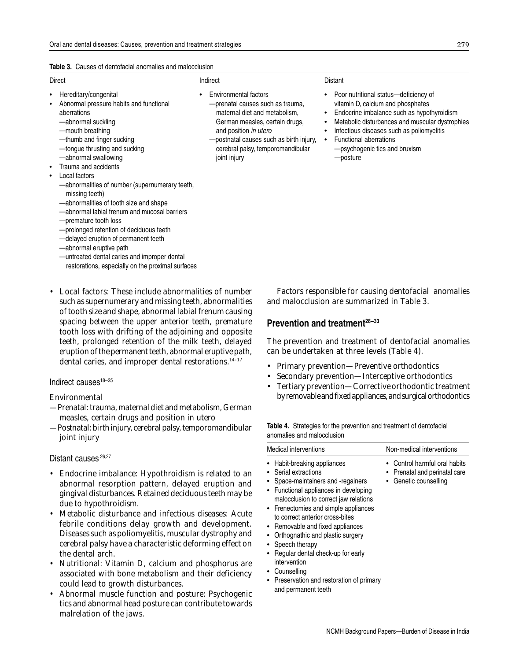|  |  |  |  | <b>Table 3.</b> Causes of dentofacial anomalies and malocclusion |  |
|--|--|--|--|------------------------------------------------------------------|--|
|--|--|--|--|------------------------------------------------------------------|--|

| Direct                                                                                                                                                                                                                                                                                                                                                                                                                                                                                                                                                                                                                                                                                                                 | Indirect                                                                                                                                                                                                                                                       | Distant                                                                                                                                                                                                                                                                                               |
|------------------------------------------------------------------------------------------------------------------------------------------------------------------------------------------------------------------------------------------------------------------------------------------------------------------------------------------------------------------------------------------------------------------------------------------------------------------------------------------------------------------------------------------------------------------------------------------------------------------------------------------------------------------------------------------------------------------------|----------------------------------------------------------------------------------------------------------------------------------------------------------------------------------------------------------------------------------------------------------------|-------------------------------------------------------------------------------------------------------------------------------------------------------------------------------------------------------------------------------------------------------------------------------------------------------|
| Hereditary/congenital<br>$\bullet$<br>Abnormal pressure habits and functional<br>$\bullet$<br>aberrations<br>-abnormal suckling<br>-mouth breathing<br>-thumb and finger sucking<br>-tongue thrusting and sucking<br>-abnormal swallowing<br>Trauma and accidents<br>$\bullet$<br>Local factors<br>$\bullet$<br>-abnormalities of number (supernumerary teeth,<br>missing teeth)<br>-abnormalities of tooth size and shape<br>-abnormal labial frenum and mucosal barriers<br>-premature tooth loss<br>-prolonged retention of deciduous teeth<br>-delayed eruption of permanent teeth<br>-abnormal eruptive path<br>-untreated dental caries and improper dental<br>restorations, especially on the proximal surfaces | <b>Environmental factors</b><br>- prenatal causes such as trauma,<br>maternal diet and metabolism,<br>German measles, certain drugs,<br>and position in utero<br>- postnatal causes such as birth injury,<br>cerebral palsy, temporomandibular<br>joint injury | Poor nutritional status-deficiency of<br>vitamin D, calcium and phosphates<br>Endocrine imbalance such as hypothyroidism<br>Metabolic disturbances and muscular dystrophies<br>Infectious diseases such as poliomyelitis<br><b>Functional aberrations</b><br>-psychogenic tics and bruxism<br>posture |

• *Local factors:* These include abnormalities of number such as supernumerary and missing teeth, abnormalities of tooth size and shape, abnormal labial frenum causing spacing between the upper anterior teeth, premature tooth loss with drifting of the adjoining and opposite teeth, prolonged retention of the milk teeth, delayed eruption of the permanent teeth, abnormal eruptive path, dental caries, and improper dental restorations.<sup>14-17</sup>

#### Indirect causes $18-25$

#### *Environmental*

- —Prenatal: trauma, maternal diet and metabolism, German measles, certain drugs and position *in utero*
- —Postnatal: birth injury, cerebral palsy, temporomandibular joint injury

#### Distant causes<sup>26,27</sup>

- *Endocrine imbalance:* Hypothroidism is related to an abnormal resorption pattern, delayed eruption and gingival disturbances. Retained deciduous teeth may be due to hypothroidism.
- *Metabolic disturbance and infectious diseases:* Acute febrile conditions delay growth and development. Diseases such as poliomyelitis, muscular dystrophy and cerebral palsy have a characteristic deforming effect on the dental arch.
- *Nutritional:* Vitamin D, calcium and phosphorus are associated with bone metabolism and their deficiency could lead to growth disturbances.
- *Abnormal muscle function and posture:* Psychogenic tics and abnormal head posture can contribute towards malrelation of the jaws.

Factors responsible for causing dentofacial anomalies and malocclusion are summarized in Table 3.

### **Prevention and treatment28–<sup>33</sup>**

The prevention and treatment of dentofacial anomalies can be undertaken at three levels (Table 4).

- Primary prevention—Preventive orthodontics
- Secondary prevention—Interceptive orthodontics
- Tertiary prevention—Corrective orthodontic treatment by removable and fixed appliances, and surgical orthodontics

| Table 4. Strategies for the prevention and treatment of dentofacial |
|---------------------------------------------------------------------|
| anomalies and malocclusion                                          |

| Medical interventions                                                                                                                                                                                                                                                                                                                                                                                                                                                          | Non-medical interventions                                                         |
|--------------------------------------------------------------------------------------------------------------------------------------------------------------------------------------------------------------------------------------------------------------------------------------------------------------------------------------------------------------------------------------------------------------------------------------------------------------------------------|-----------------------------------------------------------------------------------|
| Habit-breaking appliances<br>Serial extractions<br>Space-maintainers and -regainers<br>Functional appliances in developing<br>malocclusion to correct jaw relations<br>• Frenectomies and simple appliances<br>to correct anterior cross-bites<br>• Removable and fixed appliances<br>Orthognathic and plastic surgery<br>Speech therapy<br>Regular dental check-up for early<br>intervention<br>Counselling<br>Preservation and restoration of primary<br>and permanent teeth | Control harmful oral habits<br>Prenatal and perinatal care<br>Genetic counselling |
|                                                                                                                                                                                                                                                                                                                                                                                                                                                                                |                                                                                   |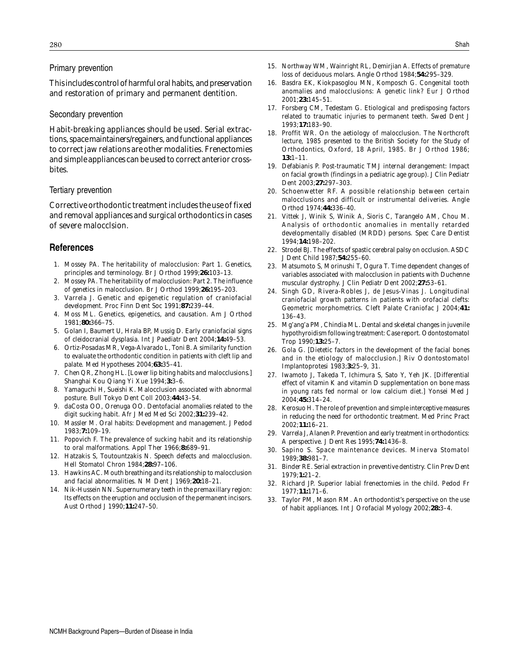#### Primary prevention

This includes control of harmful oral habits, and preservation and restoration of primary and permanent dentition.

#### Secondary prevention

Habit-breaking appliances should be used. Serial extractions, space maintainers/regainers, and functional appliances to correct jaw relations are other modalities. Frenectomies and simple appliances can be used to correct anterior crossbites.

#### Tertiary prevention

Corrective orthodontic treatment includes the use of fixed and removal appliances and surgical orthodontics in cases of severe malocclsion.

### **References**

- 1. Mossey PA. The heritability of malocclusion: Part 1. Genetics, principles and terminology. *Br J Orthod* 1999;**26:**103–13.
- 2. Mossey PA. The heritability of malocclusion: Part 2. The influence of genetics in malocclusion. *Br J Orthod* 1999;**26:**195–203.
- 3. Varrela J. Genetic and epigenetic regulation of craniofacial development. *Proc Finn Dent Soc* 1991;**87:**239–44.
- 4. Moss ML. Genetics, epigenetics, and causation. *Am J Orthod* 1981;**80:**366–75.
- 5. Golan I, Baumert U, Hrala BP, Mussig D. Early craniofacial signs of cleidocranial dysplasia. *Int J Paediatr Dent* 2004;**14:**49–53.
- 6. Ortiz-Posadas MR, Vega-Alvarado L, Toni B. A similarity function to evaluate the orthodontic condition in patients with cleft lip and palate. *Med Hypotheses* 2004;**63:**35–41.
- 7. Chen QR, Zhong HL. [Lower lip biting habits and malocclusions*.*] *Shanghai Kou Qiang Yi Xue* 1994;**3:**3–6.
- 8. Yamaguchi H, Sueishi K. Malocclusion associated with abnormal posture. *Bull Tokyo Dent Coll* 2003;**44:**43–54.
- 9. daCosta OO, Orenuga OO. Dentofacial anomalies related to the digit sucking habit. *Afr J Med Med Sci* 2002;**31:**239–42.
- 10. Massler M. Oral habits: Development and management. *J Pedod* 1983;**7:**109–19.
- 11. Popovich F. The prevalence of sucking habit and its relationship to oral malformations. *Appl Ther* 1966;**8:**689–91.
- 12. Hatzakis S, Toutountzakis N. Speech defects and malocclusion. *Hell Stomatol Chron* 1984;**28:**97–106.
- 13. Hawkins AC. Mouth breathing and its relationship to malocclusion and facial abnormalities. *N M Dent J* 1969;**20:**18–21.
- 14. Nik-Hussein NN. Supernumerary teeth in the premaxillary region: Its effects on the eruption and occlusion of the permanent incisors. *Aust Orthod J* 1990;**11:**247–50.
- 15. Northway WM, Wainright RL, Demirjian A. Effects of premature loss of deciduous molars. *Angle Orthod* 1984;**54:**295–329.
- 16. Basdra EK, Kiokpasoglou MN, Komposch G. Congenital tooth anomalies and malocclusions: A genetic link? *Eur J Orthod* 2001;**23:**145–51.
- 17. Forsberg CM, Tedestam G. Etiological and predisposing factors related to traumatic injuries to permanent teeth. *Swed Dent J* 1993;**17:**183–90.
- 18. Proffit WR. On the aetiology of malocclusion. The Northcroft lecture, 1985 presented to the British Society for the Study of Orthodontics, Oxford, 18 April, 1985. *Br J Orthod* 1986; **13:**1–11.
- 19. Defabianis P. Post-traumatic TMJ internal derangement: Impact on facial growth (findings in a pediatric age group). *J Clin Pediatr Dent* 2003;**27:**297–303.
- 20. Schoenwetter RF. A possible relationship between certain malocclusions and difficult or instrumental deliveries. *Angle Orthod* 1974;**44:**336–40.
- 21. Vittek J, Winik S, Winik A, Sioris C, Tarangelo AM, Chou M. Analysis of orthodontic anomalies in mentally retarded developmentally disabled (MRDD) persons. *Spec Care Dentist* 1994;**14:**198–202.
- 22. Strodel BJ. The effects of spastic cerebral palsy on occlusion. *ASDC J Dent Child* 1987;**54:**255–60.
- 23. Matsumoto S, Morinushi T, Ogura T. Time dependent changes of variables associated with malocclusion in patients with Duchenne muscular dystrophy. *J Clin Pediatr Dent* 2002;**27:**53–61.
- 24. Singh GD, Rivera-Robles J, de Jesus-Vinas J. Longitudinal craniofacial growth patterns in patients with orofacial clefts: Geometric morphometrics. *Cleft Palate Craniofac J* 2004;**41:** 136–43.
- 25. Mg'ang'a PM, Chindia ML. Dental and skeletal changes in juvenile hypothyroidism following treatment: Case report. *Odontostomatol Trop* 1990;**13:**25–7.
- 26. Gola G. [Dietetic factors in the development of the facial bones and in the etiology of malocclusion.] *Riv Odontostomatol Implantoprotesi* 1983;**3:**25–9, 31.
- 27. Iwamoto J, Takeda T, Ichimura S, Sato Y, Yeh JK. [Differential effect of vitamin K and vitamin D supplementation on bone mass in young rats fed normal or low calcium diet.] *Yonsei Med J* 2004;**45:**314–24.
- 28. Kerosuo H. The role of prevention and simple interceptive measures in reducing the need for orthodontic treatment. *Med Princ Pract* 2002;**11:**16–21.
- 29. Varrela J, Alanen P. Prevention and early treatment in orthodontics: A perspective. *J Dent Res* 1995;**74:**1436–8.
- 30. Sapino S. Space maintenance devices. *Minerva Stomatol* 1989;**38:**981–7.
- 31. Binder RE. Serial extraction in preventive dentistry. *Clin Prev Dent* 1979;**1:**21–2.
- 32. Richard JP. Superior labial frenectomies in the child. *Pedod Fr* 1977;**11:**171–6.
- 33. Taylor PM, Mason RM. An orthodontist's perspective on the use of habit appliances. *Int J Orofacial Myology* 2002;**28:**3–4.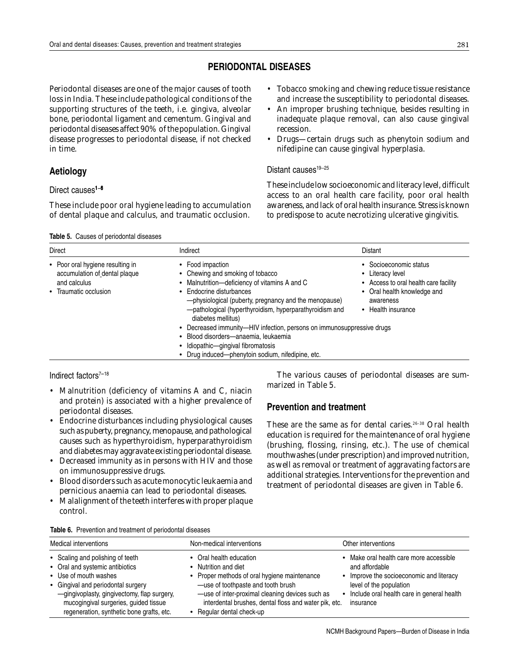## **PERIODONTAL DISEASES**

Periodontal diseases are one of the major causes of tooth loss in India. These include pathological conditions of the supporting structures of the teeth, i.e. gingiva, alveolar bone, periodontal ligament and cementum. Gingival and periodontal diseases affect 90% of the population. Gingival disease progresses to periodontal disease, if not checked in time.

## **Aetiology**

Direct causes1**–**<sup>6</sup>

These include poor oral hygiene leading to accumulation of dental plaque and calculus, and traumatic occlusion.

#### **Table 5.** Causes of periodontal diseases

• Tobacco smoking and chewing reduce tissue resistance and increase the susceptibility to periodontal diseases.

- An improper brushing technique, besides resulting in inadequate plaque removal, can also cause gingival recession.
- Drugs—certain drugs such as phenytoin sodium and nifedipine can cause gingival hyperplasia.

#### Distant causes<sup>19-25</sup>

These include low socioeconomic and literacy level, difficult access to an oral health care facility, poor oral health awareness, and lack of oral health insurance. Stress is known to predispose to acute necrotizing ulcerative gingivitis.

| Direct                                                                                                     | Indirect                                                                                                                                                                                                                                                                                                                                                                                                                                                                                 | Distant                                                                                                                                               |
|------------------------------------------------------------------------------------------------------------|------------------------------------------------------------------------------------------------------------------------------------------------------------------------------------------------------------------------------------------------------------------------------------------------------------------------------------------------------------------------------------------------------------------------------------------------------------------------------------------|-------------------------------------------------------------------------------------------------------------------------------------------------------|
| • Poor oral hygiene resulting in<br>accumulation of dental plaque<br>and calculus<br>• Traumatic occlusion | • Food impaction<br>• Chewing and smoking of tobacco<br>• Malnutrition-deficiency of vitamins A and C<br>• Endocrine disturbances<br>-physiological (puberty, pregnancy and the menopause)<br>-pathological (hyperthyroidism, hyperparathyroidism and<br>diabetes mellitus)<br>• Decreased immunity-HIV infection, persons on immunosuppressive drugs<br>· Blood disorders-anaemia, leukaemia<br>· Idiopathic-gingival fibromatosis<br>• Drug induced-phenytoin sodium, nifedipine, etc. | • Socioeconomic status<br>• Literacy level<br>• Access to oral health care facility<br>• Oral health knowledge and<br>awareness<br>• Health insurance |

Indirect factors7**–**<sup>18</sup>

- Malnutrition (deficiency of vitamins A and C, niacin and protein) is associated with a higher prevalence of periodontal diseases.
- Endocrine disturbances including physiological causes such as puberty, pregnancy, menopause, and pathological causes such as hyperthyroidism, hyperparathyroidism and diabetes may aggravate existing periodontal disease.
- Decreased immunity as in persons with HIV and those on immunosuppressive drugs.
- Blood disorders such as acute monocytic leukaemia and pernicious anaemia can lead to periodontal diseases.
- Malalignment of the teeth interferes with proper plaque control.

The various causes of periodontal diseases are summarized in Table 5.

## **Prevention and treatment**

These are the same as for dental caries.<sup>26–38</sup> Oral health education is required for the maintenance of oral hygiene (brushing, flossing, rinsing, etc.). The use of chemical mouthwashes (under prescription) and improved nutrition, as well as removal or treatment of aggravating factors are additional strategies. Interventions for the prevention and treatment of periodontal diseases are given in Table 6.

#### **Table 6.** Prevention and treatment of periodontal diseases

| Medical interventions                                                                                                                                                                                                                                                   | Non-medical interventions                                                                                                                                                                                                                                                    | Other interventions                                                                                                                                                                           |
|-------------------------------------------------------------------------------------------------------------------------------------------------------------------------------------------------------------------------------------------------------------------------|------------------------------------------------------------------------------------------------------------------------------------------------------------------------------------------------------------------------------------------------------------------------------|-----------------------------------------------------------------------------------------------------------------------------------------------------------------------------------------------|
| • Scaling and polishing of teeth<br>• Oral and systemic antibiotics<br>• Use of mouth washes<br>• Gingival and periodontal surgery<br>-gingivoplasty, gingivectomy, flap surgery,<br>mucogingival surgeries, guided tissue<br>regeneration, synthetic bone grafts, etc. | • Oral health education<br>• Nutrition and diet<br>• Proper methods of oral hygiene maintenance<br>-use of toothpaste and tooth brush<br>-use of inter-proximal cleaning devices such as<br>interdental brushes, dental floss and water pik, etc.<br>Regular dental check-up | • Make oral health care more accessible<br>and affordable<br>• Improve the socioeconomic and literacy<br>level of the population<br>• Include oral health care in general health<br>insurance |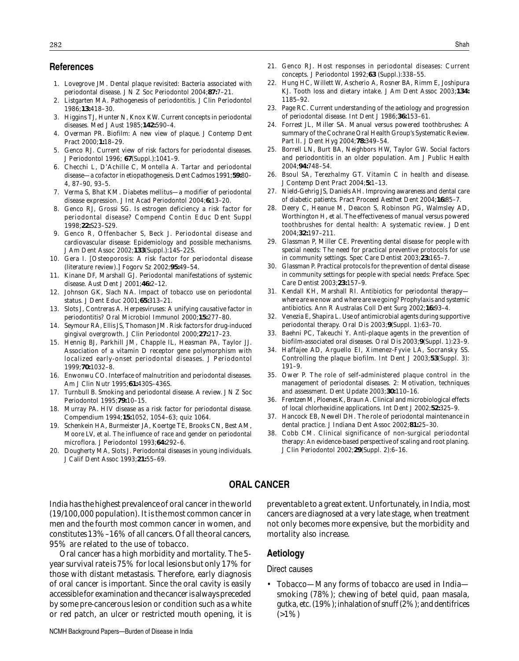#### **References**

- 1. Lovegrove JM. Dental plaque revisited: Bacteria associated with periodontal disease. *J N Z Soc Periodontol* 2004;**87:**7–21.
- 2. Listgarten MA. Pathogenesis of periodontitis. *J Clin Periodontol* 1986;**13:**418–30.
- 3. Higgins TJ, Hunter N, Knox KW. Current concepts in periodontal diseases. *Med J Aust* 1985;**142:**590–4.
- 4. Overman PR. Biofilm: A new view of plaque. *J Contemp Dent Pract* 2000;**1:**18–29.
- 5. Genco RJ. Current view of risk factors for periodontal diseases. *J Periodontol* 1996; **67**(Suppl.):1041–9.
- 6. Checchi L, D'Achille C, Montella A. Tartar and periodontal disease—a cofactor in etiopathogenesis. *Dent Cadmos* 1991;**59:**80– 4, 87–90, 93–5.
- 7. Verma S, Bhat KM. Diabetes mellitus—a modifier of periodontal disease expression. *J Int Acad Periodontol* 2004;**6:**13–20.
- 8. Genco RJ, Grossi SG. Is estrogen deficiency a risk factor for periodontal disease? *Compend Contin Educ Dent Suppl* 1998;**22:**S23–S29.
- 9. Genco R, Offenbacher S, Beck J. Periodontal disease and cardiovascular disease: Epidemiology and possible mechanisms. *J Am Dent Assoc* 2002;**133**(Suppl.):14S–22S.
- 10. Gera I. [Osteoporosis: A risk factor for periodontal disease (literature review).] *Fogorv Sz* 2002;**95:**49–54.
- 11. Kinane DF, Marshall GJ. Periodontal manifestations of systemic disease. *Aust Dent J* 2001;**46:**2–12.
- 12. Johnson GK, Slach NA. Impact of tobacco use on periodontal status. *J Dent Educ* 2001;**65:**313–21.
- 13. Slots J, Contreras A. Herpesviruses: A unifying causative factor in periodontitis? *Oral Microbiol Immunol* 2000;**15:**277–80.
- 14. Seymour RA, Ellis JS, Thomason JM. Risk factors for drug-induced gingival overgrowth. *J Clin Periodontol* 2000;**27:**217–23.
- 15. Hennig BJ, Parkhill JM, Chapple IL, Heasman PA, Taylor JJ. Association of a vitamin D receptor gene polymorphism with localized early-onset periodontal diseases. *J Periodontol* 1999;**70:**1032–8.
- 16. Enwonwu CO. Interface of malnutrition and periodontal diseases. *Am J Clin Nutr* 1995;**61:**430S–436S.
- 17. Turnbull B. Smoking and periodontal disease. A review. *J N Z Soc Periodontol* 1995;**79:**10–15.
- 18. Murray PA. HIV disease as a risk factor for periodontal disease. *Compendium* 1994;**15:**1052, 1054–63; quiz 1064.
- 19. Schenkein HA, Burmeister JA, Koertge TE, Brooks CN, Best AM, Moore LV, *et al.* The influence of race and gender on periodontal microflora. *J Periodontol* 1993;**64:**292–6.
- 20. Dougherty MA, Slots J. Periodontal diseases in young individuals. *J Calif Dent Assoc* 1993;**21:**55–69.
- 21. Genco RJ. Host responses in periodontal diseases: Current concepts. *J Periodontol* 1992;**63** (Suppl.):338–55.
- 22. Hung HC, Willett W, Ascherio A, Rosner BA, Rimm E, Joshipura KJ. Tooth loss and dietary intake. *J Am Dent Assoc* 2003;**134:** 1185–92.
- 23. Page RC. Current understanding of the aetiology and progression of periodontal disease. *Int Dent J* 1986;**36:**153–61.
- 24. Forrest JL, Miller SA. Manual versus powered toothbrushes: A summary of the Cochrane Oral Health Group's Systematic Review. Part II. *J Dent Hyg* 2004;**78:**349–54.
- 25. Borrell LN, Burt BA, Neighbors HW, Taylor GW. Social factors and periodontitis in an older population. *Am J Public Health* 2004;**94:**748–54.
- 26. Bsoul SA, Terezhalmy GT. Vitamin C in health and disease. *J Contemp Dent Pract* 2004;**5:**1–13.
- 27. Nield-Gehrig JS, Daniels AH. Improving awareness and dental care of diabetic patients. *Pract Proceed Aesthet Dent* 2004;**16:**85–7.
- 28. Deery C, Heanue M, Deacon S, Robinson PG, Walmsley AD, Worthington H, *et al.* The effectiveness of manual versus powered toothbrushes for dental health: A systematic review. *J Dent* 2004;**32:**197–211.
- 29. Glassman P, Miller CE. Preventing dental disease for people with special needs: The need for practical preventive protocols for use in community settings. *Spec Care Dentist* 2003;**23:**165–7.
- 30. Glassman P. Practical protocols for the prevention of dental disease in community settings for people with special needs: Preface. *Spec Care Dentist* 2003;**23:**157–9.
- 31. Kendall KH, Marshall RI. Antibiotics for periodontal therapy where are we now and where are we going? Prophylaxis and systemic antibiotics. *Ann R Australas Coll Dent Surg* 2002;**16:**93–4.
- 32. Venezia E, Shapira L. Use of antimicrobial agents during supportive periodontal therapy. *Oral Dis* 2003;**9**(Suppl. 1):63–70.
- 33. Baehni PC, Takeuchi Y. Anti-plaque agents in the prevention of biofilm-associated oral diseases. *Oral Dis* 2003;**9**(Suppl. 1):23–9.
- 34. Haffajee AD, Arguello EI, Ximenez-Fyvie LA, Socransky SS. Controlling the plaque biofilm. *Int Dent J* 2003;**53**(Suppl. 3): 191–9.
- 35. Ower P. The role of self-administered plaque control in the management of periodontal diseases. 2: Motivation, techniques and assessment. *Dent Update* 2003;**30:**110–16.
- 36. Frentzen M, Ploenes K, Braun A. Clinical and microbiological effects of local chlorhexidine applications. *Int Dent J* 2002;**52:**325–9.
- 37. Hancock EB, Newell DH. The role of periodontal maintenance in dental practice. *J Indiana Dent Assoc* 2002;**81:**25–30.
- 38. Cobb CM. Clinical significance of non-surgical periodontal therapy: An evidence-based perspective of scaling and root planing. *J Clin Periodontol* 2002;**29**(Suppl. 2):6–16.

#### **ORAL CANCER**

India has the highest prevalence of oral cancer in the world (19/100,000 population). It is the most common cancer in men and the fourth most common cancer in women, and constitutes 13%–16% of all cancers. Of all the oral cancers, 95% are related to the use of tobacco.

Oral cancer has a high morbidity and mortality. The 5 year survival rate is 75% for local lesions but only 17% for those with distant metastasis. Therefore, early diagnosis of oral cancer is important. Since the oral cavity is easily accessible for examination and the cancer is always preceded by some pre-cancerous lesion or condition such as a white or red patch, an ulcer or restricted mouth opening, it is preventable to a great extent. Unfortunately, in India, most cancers are diagnosed at a very late stage, when treatment not only becomes more expensive, but the morbidity and mortality also increase.

#### **Aetiology**

#### Direct causes

• Tobacco—Many forms of tobacco are used in India smoking (78%); chewing of betel quid, *paan masala, gutka,* etc. (19%); inhalation of snuff (2%); and dentifrices  $(>1\%)$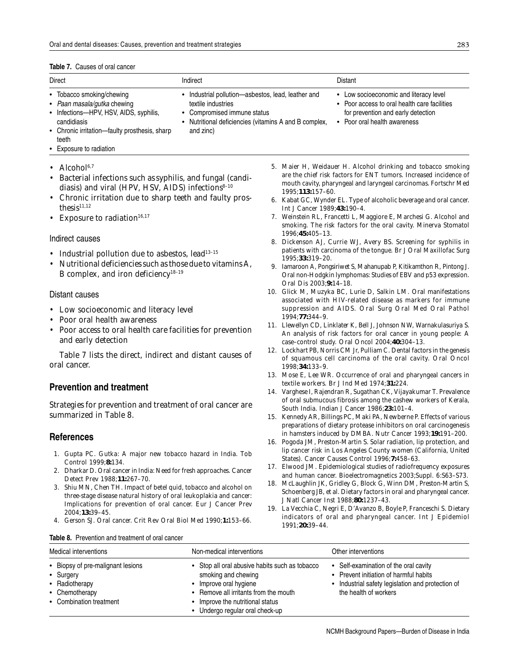| <b>Table 7.</b> Causes of oral cancer |
|---------------------------------------|
|---------------------------------------|

| Direct                                                                                                                                                                      | Indirect                                                                                                                                                                      | Distant                                                                                                                                                                 |
|-----------------------------------------------------------------------------------------------------------------------------------------------------------------------------|-------------------------------------------------------------------------------------------------------------------------------------------------------------------------------|-------------------------------------------------------------------------------------------------------------------------------------------------------------------------|
| • Tobacco smoking/chewing<br>• Paan masala/gutka chewing<br>• Infections-HPV, HSV, AIDS, syphilis,<br>candidiasis<br>• Chronic irritation-faulty prosthesis, sharp<br>teeth | • Industrial pollution-asbestos, lead, leather and<br>textile industries<br>• Compromised immune status<br>• Nutritional deficiencies (vitamins A and B complex,<br>and zinc) | • Low socioeconomic and literacy level<br>• Poor access to oral health care facilities<br>for prevention and early detection<br>Poor oral health awareness<br>$\bullet$ |

- Exposure to radiation
- Alcohol $6,7$
- Bacterial infections such as syphilis, and fungal (candidiasis) and viral (HPV, HSV, AIDS) infections $8-10$
- Chronic irritation due to sharp teeth and faulty prosthesis<sup>11,12</sup>
- Exposure to radiation $16,17$

#### Indirect causes

- Industrial pollution due to asbestos, lead<sup>13-15</sup>
- Nutritional deficiencies such as those due to vitamins A, B complex, and iron deficiency<sup>18-19</sup>

#### Distant causes

- Low socioeconomic and literacy level
- Poor oral health awareness
- Poor access to oral health care facilities for prevention and early detection

Table 7 lists the direct, indirect and distant causes of oral cancer.

### **Prevention and treatment**

Strategies for prevention and treatment of oral cancer are summarized in Table 8.

#### **References**

- 1. Gupta PC. *Gutka*: A major new tobacco hazard in India. *Tob Control* 1999;**8:**134.
- 2. Dharkar D. Oral cancer in India: Need for fresh approaches. *Cancer Detect Prev* 1988;**11:**267–70.
- 3. Shiu MN, Chen TH. Impact of betel quid, tobacco and alcohol on three-stage disease natural history of oral leukoplakia and cancer: Implications for prevention of oral cancer. *Eur J Cancer Prev* 2004;**13:**39–45.
- 4. Gerson SJ. Oral cancer. *Crit Rev Oral Biol Med* 1990;**1:**153–66.
- 5. Maier H, Weidauer H. Alcohol drinking and tobacco smoking are the chief risk factors for ENT tumors. Increased incidence of mouth cavity, pharyngeal and laryngeal carcinomas. *Fortschr Med* 1995;**113:**157–60.
- 6. Kabat GC, Wynder EL. Type of alcoholic beverage and oral cancer. *Int J Cancer* 1989;**43:**190–4.
- 7. Weinstein RL, Francetti L, Maggiore E, Marchesi G. Alcohol and smoking. The risk factors for the oral cavity. *Minerva Stomatol* 1996;**45:**405–13.
- 8. Dickenson AJ, Currie WJ, Avery BS. Screening for syphilis in patients with carcinoma of the tongue. *Br J Oral Maxillofac Surg* 1995;**33:**319–20.
- 9. Iamaroon A, Pongsiriwet S, Mahanupab P, Kitikamthon R, Pintong J. Oral non-Hodgkin lymphomas: Studies of EBV and p53 expression. *Oral Dis* 2003;**9:**14–18.
- 10. Glick M, Muzyka BC, Lurie D, Salkin LM. Oral manifestations associated with HIV-related disease as markers for immune suppression and AIDS. *Oral Surg Oral Med Oral Pathol* 1994;**77:**344–9.
- 11. Llewellyn CD, Linklater K, Bell J, Johnson NW, Warnakulasuriya S. An analysis of risk factors for oral cancer in young people: A case–control study. *Oral Oncol* 2004;**40:**304–13.
- 12. Lockhart PB, Norris CM Jr, Pulliam C. Dental factors in the genesis of squamous cell carcinoma of the oral cavity. *Oral Oncol* 1998;**34:**133–9.
- 13. Mose E, Lee WR. Occurrence of oral and pharyngeal cancers in textile workers. *Br J Ind Med* 1974;**31:**224.
- 14. Varghese I, Rajendran R, Sugathan CK, Vijayakumar T. Prevalence of oral submucous fibrosis among the cashew workers of Kerala, South India. *Indian J Cancer* 1986;**23:**101–4.
- 15. Kennedy AR, Billings PC, Maki PA, Newberne P. Effects of various preparations of dietary protease inhibitors on oral carcinogenesis in hamsters induced by DMBA. *Nutr Cancer* 1993;**19:**191–200.
- 16. Pogoda JM, Preston-Martin S. Solar radiation, lip protection, and lip cancer risk in Los Angeles County women (California, United States). *Cancer Causes Control* 1996;**7:**458–63.
- 17. Elwood JM. Epidemiological studies of radiofrequency exposures and human cancer. *Bioelectromagnetics* 2003;Suppl. 6:S63–S73.
- 18. McLaughlin JK, Gridley G, Block G, Winn DM, Preston-Martin S, Schoenberg JB, *et al.* Dietary factors in oral and pharyngeal cancer. *J Natl Cancer Inst* 1988;**80:**1237–43.
- 19. La Vecchia C, Negri E, D'Avanzo B, Boyle P, Franceschi S. Dietary indicators of oral and pharyngeal cancer. *Int J Epidemiol* 1991;**20:**39–44.

|  | <b>Table 8.</b> Prevention and treatment of oral cancer |  |
|--|---------------------------------------------------------|--|
|--|---------------------------------------------------------|--|

| Medical interventions                                                                                         | Non-medical interventions                                                                                                                                                                                        | Other interventions                                                                                                                                           |
|---------------------------------------------------------------------------------------------------------------|------------------------------------------------------------------------------------------------------------------------------------------------------------------------------------------------------------------|---------------------------------------------------------------------------------------------------------------------------------------------------------------|
| • Biopsy of pre-malignant lesions<br>• Surgery<br>• Radiotherapy<br>• Chemotherapy<br>• Combination treatment | • Stop all oral abusive habits such as tobacco<br>smoking and chewing<br>Improve oral hygiene<br><b>Remove all irritants from the mouth</b><br>Improve the nutritional status<br>• Undergo regular oral check-up | • Self-examination of the oral cavity<br>• Prevent initiation of harmful habits<br>• Industrial safety legislation and protection of<br>the health of workers |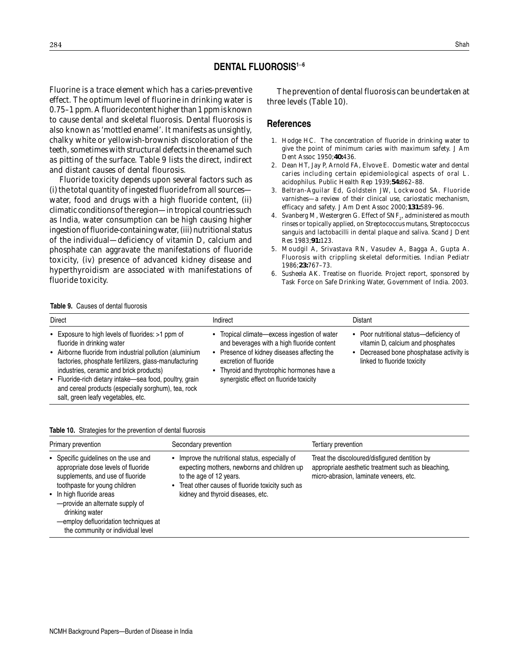### **DENTAL FLUOROSIS1**–**<sup>6</sup>**

Fluorine is a trace element which has a caries-preventive effect. The optimum level of fluorine in drinking water is 0.75–1 ppm. A fluoride content higher than 1 ppm is known to cause dental and skeletal fluorosis. Dental fluorosis is also known as 'mottled enamel'. It manifests as unsightly, chalky white or yellowish-brownish discoloration of the teeth, sometimes with structural defects in the enamel such as pitting of the surface. Table 9 lists the direct, indirect and distant causes of dental flourosis.

Fluoride toxicity depends upon several factors such as (i) the total quantity of ingested fluoride from all sources water, food and drugs with a high fluoride content, (ii) climatic conditions of the region—in tropical countries such as India, water consumption can be high causing higher ingestion of fluoride-containing water, (iii) nutritional status of the individual—deficiency of vitamin D, calcium and phosphate can aggravate the manifestations of fluoride toxicity, (iv) presence of advanced kidney disease and hyperthyroidism are associated with manifestations of fluoride toxicity.

The prevention of dental fluorosis can be undertaken at three levels (Table 10).

#### **References**

- 1. Hodge HC. The concentration of fluoride in drinking water to give the point of minimum caries with maximum safety. *J Am Dent Assoc* 1950;**40:**436.
- 2. Dean HT, Jay P, Arnold FA, Elvove E. Domestic water and dental caries including certain epidemiological aspects of oral *L. acidophilus. Public Health Rep* 1939;**54:**862–88.
- 3. Beltran-Aguilar Ed, Goldstein JW, Lockwood SA. Fluoride varnishes—a review of their clinical use, cariostatic mechanism, efficacy and safety. *J Am Dent Assoc* 2000;**131:**589–96.
- 4. Svanberg M, Westergren G. Effect of SNF<sub>2</sub>, administered as mouth rinses or topically applied, on *Streptococcus mutans, Streptococcus sanguis* and lactobacilli in dental plaque and saliva. *Scand J Dent Res* 1983;**91:**123.
- 5. Moudgil A, Srivastava RN, Vasudev A, Bagga A, Gupta A. Fluorosis with crippling skeletal deformities. *Indian Pediatr* 1986;**23:**767–73.
- 6. Susheela AK. Treatise on fluoride. Project report, sponsored by Task Force on Safe Drinking Water, Government of India. 2003.

#### **Table 9.** Causes of dental fluorosis

| Direct                                                                                                                                                                                                                                                                                                                                                                                                  | Indirect                                                                                                                                                                                                                                                | Distant                                                                                                                                                 |
|---------------------------------------------------------------------------------------------------------------------------------------------------------------------------------------------------------------------------------------------------------------------------------------------------------------------------------------------------------------------------------------------------------|---------------------------------------------------------------------------------------------------------------------------------------------------------------------------------------------------------------------------------------------------------|---------------------------------------------------------------------------------------------------------------------------------------------------------|
| • Exposure to high levels of fluorides: >1 ppm of<br>fluoride in drinking water<br>• Airborne fluoride from industrial pollution (aluminium<br>factories, phosphate fertilizers, glass-manufacturing<br>industries, ceramic and brick products)<br>• Fluoride-rich dietary intake-sea food, poultry, grain<br>and cereal products (especially sorghum), tea, rock<br>salt, green leafy vegetables, etc. | • Tropical climate—excess ingestion of water<br>and beverages with a high fluoride content<br>Presence of kidney diseases affecting the<br>excretion of fluoride<br>Thyroid and thyrotrophic hormones have a<br>synergistic effect on fluoride toxicity | • Poor nutritional status—deficiency of<br>vitamin D, calcium and phosphates<br>• Decreased bone phosphatase activity is<br>linked to fluoride toxicity |

#### **Table 10.** Strategies for the prevention of dental fluorosis

| Primary prevention                                                                                                                                                                                                                                                                                             | Secondary prevention                                                                                                                                                                                                         | Tertiary prevention                                                                                                                           |
|----------------------------------------------------------------------------------------------------------------------------------------------------------------------------------------------------------------------------------------------------------------------------------------------------------------|------------------------------------------------------------------------------------------------------------------------------------------------------------------------------------------------------------------------------|-----------------------------------------------------------------------------------------------------------------------------------------------|
| • Specific guidelines on the use and<br>appropriate dose levels of fluoride<br>supplements, and use of fluoride<br>toothpaste for young children<br>• In high fluoride areas<br>-provide an alternate supply of<br>drinking water<br>-employ defluoridation techniques at<br>the community or individual level | Improve the nutritional status, especially of<br>expecting mothers, newborns and children up<br>to the age of 12 years.<br>Treat other causes of fluoride toxicity such as<br>$\bullet$<br>kidney and thyroid diseases, etc. | Treat the discoloured/disfigured dentition by<br>appropriate aesthetic treatment such as bleaching,<br>micro-abrasion, laminate veneers, etc. |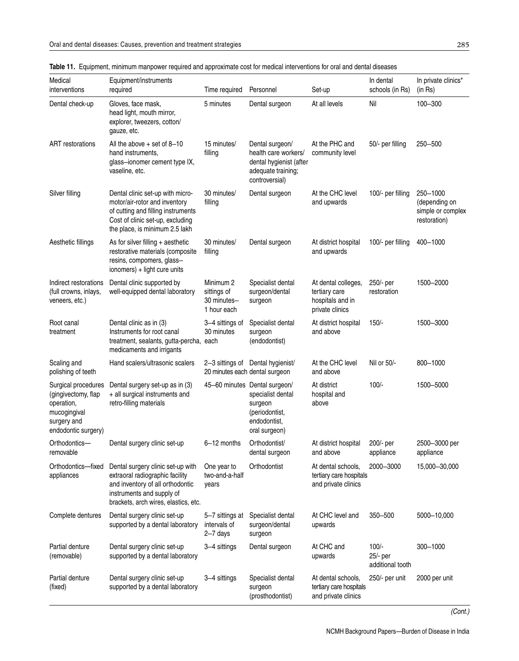| Medical<br>interventions                                                                                       | Equipment/instruments<br>required                                                                                                                                             | Time required                                          | Personnel                                                                                                        | Set-up                                                                      | In dental<br>schools (in Rs)            | In private clinics*<br>(in Rs)                                 |
|----------------------------------------------------------------------------------------------------------------|-------------------------------------------------------------------------------------------------------------------------------------------------------------------------------|--------------------------------------------------------|------------------------------------------------------------------------------------------------------------------|-----------------------------------------------------------------------------|-----------------------------------------|----------------------------------------------------------------|
| Dental check-up                                                                                                | Gloves, face mask,<br>head light, mouth mirror,<br>explorer, tweezers, cotton/<br>gauze, etc.                                                                                 | 5 minutes                                              | Dental surgeon                                                                                                   | At all levels                                                               | Nil                                     | 100-300                                                        |
| <b>ART</b> restorations                                                                                        | All the above $+$ set of 8-10<br>hand instruments,<br>glass-ionomer cement type IX,<br>vaseline, etc.                                                                         | 15 minutes/<br>filling                                 | Dental surgeon/<br>health care workers/<br>dental hygienist (after<br>adequate training;<br>controversial)       | At the PHC and<br>community level                                           | 50/- per filling                        | 250-500                                                        |
| Silver filling                                                                                                 | Dental clinic set-up with micro-<br>motor/air-rotor and inventory<br>of cutting and filling instruments<br>Cost of clinic set-up, excluding<br>the place, is minimum 2.5 lakh | 30 minutes/<br>filling                                 | Dental surgeon                                                                                                   | At the CHC level<br>and upwards                                             | 100/- per filling                       | 250-1000<br>(depending on<br>simple or complex<br>restoration) |
| Aesthetic fillings                                                                                             | As for silver filling + aesthetic<br>restorative materials (composite<br>resins, compomers, glass-<br>ionomers) + light cure units                                            | 30 minutes/<br>filling                                 | Dental surgeon                                                                                                   | At district hospital<br>and upwards                                         | 100/- per filling                       | 400-1000                                                       |
| Indirect restorations<br>(full crowns, inlays,<br>veneers, etc.)                                               | Dental clinic supported by<br>well-equipped dental laboratory                                                                                                                 | Minimum 2<br>sittings of<br>30 minutes-<br>1 hour each | Specialist dental<br>surgeon/dental<br>surgeon                                                                   | At dental colleges,<br>tertiary care<br>hospitals and in<br>private clinics | 250/- per<br>restoration                | 1500-2000                                                      |
| Root canal<br>treatment                                                                                        | Dental clinic as in (3)<br>Instruments for root canal<br>treatment, sealants, gutta-percha,<br>medicaments and irrigants                                                      | 3-4 sittings of<br>30 minutes<br>each                  | Specialist dental<br>surgeon<br>(endodontist)                                                                    | At district hospital<br>and above                                           | $150/-$                                 | 1500-3000                                                      |
| Scaling and<br>polishing of teeth                                                                              | Hand scalers/ultrasonic scalers                                                                                                                                               | 20 minutes each dental surgeon                         | 2-3 sittings of Dental hygienist/                                                                                | At the CHC level<br>and above                                               | Nil or 50/-                             | 800-1000                                                       |
| Surgical procedures<br>(gingivectomy, flap<br>operation,<br>mucogingival<br>surgery and<br>endodontic surgery) | Dental surgery set-up as in (3)<br>+ all surgical instruments and<br>retro-filling materials                                                                                  |                                                        | 45-60 minutes Dental surgeon/<br>specialist dental<br>surgeon<br>(periodontist,<br>endodontist,<br>oral surgeon) | At district<br>hospital and<br>above                                        | $100/-$                                 | 1500-5000                                                      |
| Orthodontics-<br>removable                                                                                     | Dental surgery clinic set-up                                                                                                                                                  | 6-12 months                                            | Orthodontist/<br>dental surgeon                                                                                  | At district hospital<br>and above                                           | 200/- per<br>appliance                  | 2500-3000 per<br>appliance                                     |
| Orthodontics-fixed<br>appliances                                                                               | Dental surgery clinic set-up with<br>extraoral radiographic facility<br>and inventory of all orthodontic<br>instruments and supply of<br>brackets, arch wires, elastics, etc. | One year to<br>two-and-a-half<br>years                 | Orthodontist                                                                                                     | At dental schools,<br>tertiary care hospitals<br>and private clinics        | 2000-3000                               | 15,000 - 30,000                                                |
| Complete dentures                                                                                              | Dental surgery clinic set-up<br>supported by a dental laboratory                                                                                                              | 5–7 sittings at<br>intervals of<br>$2 - 7$ days        | Specialist dental<br>surgeon/dental<br>surgeon                                                                   | At CHC level and<br>upwards                                                 | 350-500                                 | 5000-10,000                                                    |
| Partial denture<br>(removable)                                                                                 | Dental surgery clinic set-up<br>supported by a dental laboratory                                                                                                              | 3-4 sittings                                           | Dental surgeon                                                                                                   | At CHC and<br>upwards                                                       | $100/-$<br>25/- per<br>additional tooth | 300-1000                                                       |
| Partial denture<br>(fixed)                                                                                     | Dental surgery clinic set-up<br>supported by a dental laboratory                                                                                                              | 3-4 sittings                                           | Specialist dental<br>surgeon<br>(prosthodontist)                                                                 | At dental schools,<br>tertiary care hospitals<br>and private clinics        | 250/- per unit                          | 2000 per unit                                                  |

### **Table 11.** Equipment, minimum manpower required and approximate cost for medical interventions for oral and dental diseases

(Cont.)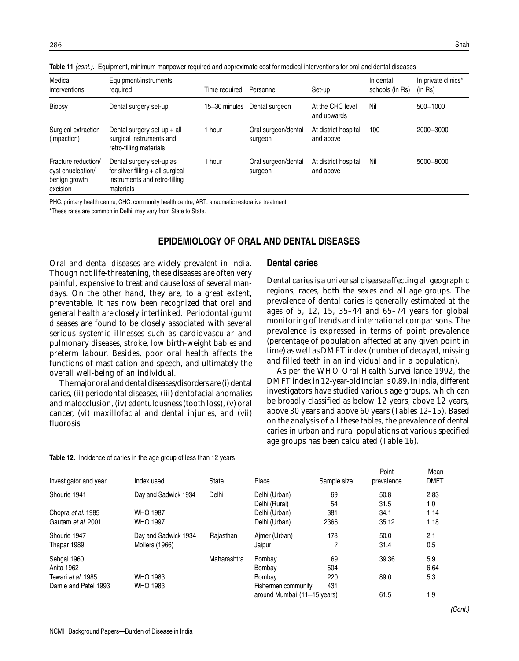| Medical<br>interventions                                              | Equipment/instruments<br>required                                                                             | Time reauired | Personnel                      | Set-up                            | In dental<br>schools (in Rs) | In private clinics*<br>(in Rs) |
|-----------------------------------------------------------------------|---------------------------------------------------------------------------------------------------------------|---------------|--------------------------------|-----------------------------------|------------------------------|--------------------------------|
| <b>Biopsy</b>                                                         | Dental surgery set-up                                                                                         | 15–30 minutes | Dental surgeon                 | At the CHC level<br>and upwards   | Nil                          | 500-1000                       |
| Surgical extraction<br>(impaction)                                    | Dental surgery set-up $+$ all<br>surgical instruments and<br>retro-filling materials                          | 1 hour        | Oral surgeon/dental<br>surgeon | At district hospital<br>and above | 100                          | 2000-3000                      |
| Fracture reduction/<br>cyst enucleation/<br>benign growth<br>excision | Dental surgery set-up as<br>for silver filling $+$ all surgical<br>instruments and retro-filling<br>materials | 1 hour        | Oral surgeon/dental<br>surgeon | At district hospital<br>and above | Nil                          | 5000-8000                      |

**Table 11** (cont.)**.** Equipment, minimum manpower required and approximate cost for medical interventions for oral and dental diseases

PHC: primary health centre; CHC: community health centre; ART: atraumatic restorative treatment

\*These rates are common in Delhi; may vary from State to State.

### **EPIDEMIOLOGY OF ORAL AND DENTAL DISEASES**

Oral and dental diseases are widely prevalent in India. Though not life-threatening, these diseases are often very painful, expensive to treat and cause loss of several mandays. On the other hand, they are, to a great extent, preventable. It has now been recognized that oral and general health are closely interlinked. Periodontal (gum) diseases are found to be closely associated with several serious systemic illnesses such as cardiovascular and pulmonary diseases, stroke, low birth-weight babies and preterm labour. Besides, poor oral health affects the functions of mastication and speech, and ultimately the overall well-being of an individual.

The major oral and dental diseases/disorders are (i) dental caries, (ii) periodontal diseases, (iii) dentofacial anomalies and malocclusion, (iv) edentulousness (tooth loss), (v) oral cancer, (vi) maxillofacial and dental injuries, and (vii) fluorosis.

#### **Dental caries**

Dental caries is a universal disease affecting all geographic regions, races, both the sexes and all age groups. The prevalence of dental caries is generally estimated at the ages of 5, 12, 15, 35–44 and 65–74 years for global monitoring of trends and international comparisons. The prevalence is expressed in terms of point prevalence (percentage of population affected at any given point in time) as well as DMFT index (number of decayed, missing and filled teeth in an individual and in a population).

As per the WHO Oral Health Surveillance 1992, the DMFT index in 12-year-old Indian is 0.89. In India, different investigators have studied various age groups, which can be broadly classified as below 12 years, above 12 years, above 30 years and above 60 years (Tables 12–15). Based on the analysis of all these tables, the prevalence of dental caries in urban and rural populations at various specified age groups has been calculated (Table 16).

| Investigator and year | Index used            | <b>State</b> | Place                       | Sample size | Point<br>prevalence | Mean<br><b>DMFT</b> |  |
|-----------------------|-----------------------|--------------|-----------------------------|-------------|---------------------|---------------------|--|
| Shourie 1941          | Day and Sadwick 1934  | Delhi        | Delhi (Urban)               | 69          | 50.8                | 2.83                |  |
|                       |                       |              | Delhi (Rural)               | 54          | 31.5                | 1.0                 |  |
| Chopra et al. 1985    | <b>WHO 1987</b>       |              | Delhi (Urban)               | 381         | 34.1                | 1.14                |  |
| Gautam et al. 2001    | <b>WHO 1997</b>       |              | Delhi (Urban)               | 2366        | 35.12               | 1.18                |  |
| Shourie 1947          | Day and Sadwick 1934  | Rajasthan    | Aimer (Urban)               | 178         | 50.0                | 2.1                 |  |
| Thapar 1989           | <b>Mollers (1966)</b> |              | Jaipur                      | 2           | 31.4                | 0.5                 |  |
| Sehgal 1960           |                       | Maharashtra  | Bombay                      | 69          | 39.36               | 5.9                 |  |
| Anita 1962            |                       |              | Bombay                      | 504         |                     | 6.64                |  |
| Tewari et al. 1985    | <b>WHO 1983</b>       |              | Bombay                      | 220         | 89.0                | 5.3                 |  |
| Damle and Patel 1993  | <b>WHO 1983</b>       |              | Fishermen community         | 431         |                     |                     |  |
|                       |                       |              | around Mumbai (11-15 years) |             | 61.5                | 1.9                 |  |

**Table 12.** Incidence of caries in the age group of less than 12 years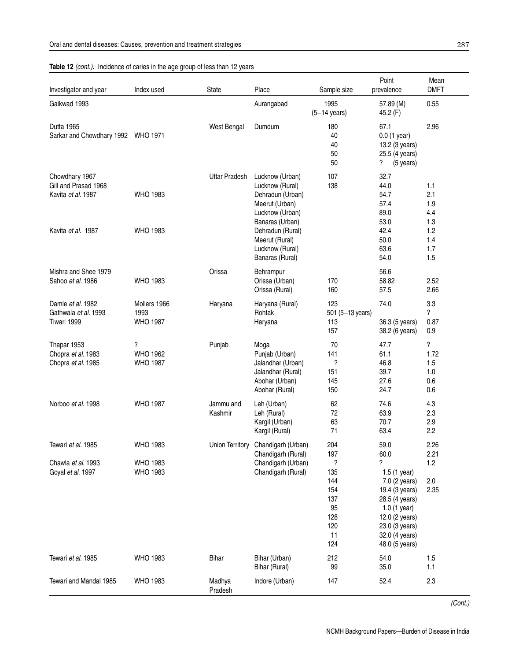### Table 12 (cont.). Incidence of caries in the age group of less than 12 years

| Investigator and year                                        | Index used                              | State                  | Place                                                                                                          | Sample size                                                    | Point<br>prevalence                                                                                                                                          | Mean<br><b>DMFT</b>                   |
|--------------------------------------------------------------|-----------------------------------------|------------------------|----------------------------------------------------------------------------------------------------------------|----------------------------------------------------------------|--------------------------------------------------------------------------------------------------------------------------------------------------------------|---------------------------------------|
| Gaikwad 1993                                                 |                                         |                        | Aurangabad                                                                                                     | 1995<br>$(5-14 \text{ years})$                                 | 57.89 (M)<br>45.2 (F)                                                                                                                                        | 0.55                                  |
| Dutta 1965<br>Sarkar and Chowdhary 1992 WHO 1971             |                                         | West Bengal            | Dumdum                                                                                                         | 180<br>40<br>40<br>50<br>50                                    | 67.1<br>$0.0$ (1 year)<br>13.2 (3 years)<br>25.5 (4 years)<br>?<br>(5 years)                                                                                 | 2.96                                  |
| Chowdhary 1967<br>Gill and Prasad 1968<br>Kavita et al. 1987 | <b>WHO 1983</b>                         | <b>Uttar Pradesh</b>   | Lucknow (Urban)<br>Lucknow (Rural)<br>Dehradun (Urban)<br>Meerut (Urban)<br>Lucknow (Urban)<br>Banaras (Urban) | 107<br>138                                                     | 32.7<br>44.0<br>54.7<br>57.4<br>89.0<br>53.0                                                                                                                 | 1.1<br>2.1<br>1.9<br>4.4<br>1.3       |
| Kavita et al. 1987                                           | <b>WHO 1983</b>                         |                        | Dehradun (Rural)<br>Meerut (Rural)<br>Lucknow (Rural)<br>Banaras (Rural)                                       |                                                                | 42.4<br>50.0<br>63.6<br>54.0                                                                                                                                 | 1.2<br>1.4<br>1.7<br>1.5              |
| Mishra and Shee 1979<br>Sahoo et al. 1986                    | <b>WHO 1983</b>                         | Orissa                 | Behrampur<br>Orissa (Urban)<br>Orissa (Rural)                                                                  | 170<br>160                                                     | 56.6<br>58.82<br>57.5                                                                                                                                        | 2.52<br>2.66                          |
| Damle et al. 1982<br>Gathwala et al. 1993<br>Tiwari 1999     | Mollers 1966<br>1993<br><b>WHO 1987</b> | Haryana                | Haryana (Rural)<br>Rohtak<br>Haryana                                                                           | 123<br>501 (5-13 years)<br>113<br>157                          | 74.0<br>36.3 (5 years)<br>38.2 (6 years)                                                                                                                     | 3.3<br>?<br>0.87<br>0.9               |
| Thapar 1953<br>Chopra et al. 1983<br>Chopra et al. 1985      | ?<br><b>WHO 1962</b><br><b>WHO 1987</b> | Punjab                 | Moga<br>Punjab (Urban)<br>Jalandhar (Urban)<br>Jalandhar (Rural)<br>Abohar (Urban)<br>Abohar (Rural)           | 70<br>141<br>?<br>151<br>145<br>150                            | 47.7<br>61.1<br>46.8<br>39.7<br>27.6<br>24.7                                                                                                                 | ?<br>1.72<br>1.5<br>1.0<br>0.6<br>0.6 |
| Norboo et al. 1998                                           | <b>WHO 1987</b>                         | Jammu and<br>Kashmir   | Leh (Urban)<br>Leh (Rural)<br>Kargil (Urban)<br>Kargil (Rural)                                                 | 62<br>72<br>63<br>71                                           | 74.6<br>63.9<br>70.7<br>63.4                                                                                                                                 | 4.3<br>2.3<br>2.9<br>2.2              |
| Tewari et al. 1985                                           | <b>WHO 1983</b>                         | <b>Union Territory</b> | Chandigarh (Urban)<br>Chandigarh (Rural)                                                                       | 204<br>197                                                     | 59.0<br>60.0                                                                                                                                                 | 2.26<br>2.21                          |
| Chawla et al. 1993<br>Goyal et al. 1997                      | <b>WHO 1983</b><br><b>WHO 1983</b>      |                        | Chandigarh (Urban)<br>Chandigarh (Rural)                                                                       | ?<br>135<br>144<br>154<br>137<br>95<br>128<br>120<br>11<br>124 | ?<br>1.5(1 year)<br>7.0 (2 years)<br>19.4 (3 years)<br>28.5 (4 years)<br>1.0(1 year)<br>12.0 (2 years)<br>23.0 (3 years)<br>32.0 (4 years)<br>48.0 (5 years) | 1.2<br>2.0<br>2.35                    |
| Tewari et al. 1985                                           | <b>WHO 1983</b>                         | Bihar                  | Bihar (Urban)<br>Bihar (Rural)                                                                                 | 212<br>99                                                      | 54.0<br>35.0                                                                                                                                                 | 1.5<br>1.1                            |
| Tewari and Mandal 1985                                       | <b>WHO 1983</b>                         | Madhya<br>Pradesh      | Indore (Urban)                                                                                                 | 147                                                            | 52.4                                                                                                                                                         | 2.3                                   |

(Cont.)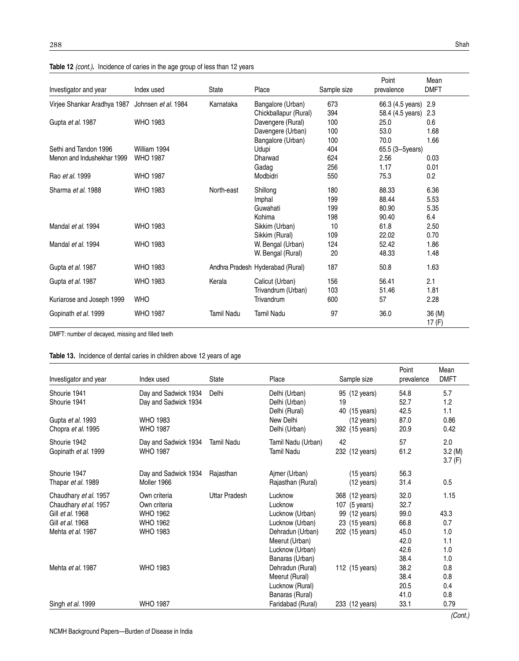|                             |                     |              |                                  |             | Point                | Mean               |
|-----------------------------|---------------------|--------------|----------------------------------|-------------|----------------------|--------------------|
| Investigator and year       | Index used          | <b>State</b> | Place                            | Sample size | prevalence           | <b>DMFT</b>        |
| Virjee Shankar Aradhya 1987 | Johnsen et al. 1984 | Karnataka    | Bangalore (Urban)                | 673         | 66.3 (4.5 years) 2.9 |                    |
|                             |                     |              | Chickballapur (Rural)            | 394         | 58.4 (4.5 years)     | 2.3                |
| Gupta et al. 1987           | <b>WHO 1983</b>     |              | Davengere (Rural)                | 100         | 25.0                 | 0.6                |
|                             |                     |              | Davengere (Urban)                | 100         | 53.0                 | 1.68               |
|                             |                     |              | Bangalore (Urban)                | 100         | 70.0                 | 1.66               |
| Sethi and Tandon 1996       | William 1994        |              | Udupi                            | 404         | 65.5 (3-5years)      |                    |
| Menon and Indushekhar 1999  | <b>WHO 1987</b>     |              | Dharwad                          | 624         | 2.56                 | 0.03               |
|                             |                     |              | Gadag                            | 256         | 1.17                 | 0.01               |
| Rao et al. 1999             | <b>WHO 1987</b>     |              | Modbidri                         | 550         | 75.3                 | 0.2                |
| Sharma et al. 1988          | <b>WHO 1983</b>     | North-east   | Shillong                         | 180         | 88.33                | 6.36               |
|                             |                     |              | Imphal                           | 199         | 88.44                | 5.53               |
|                             |                     |              | Guwahati                         | 199         | 80.90                | 5.35               |
|                             |                     |              | Kohima                           | 198         | 90.40                | 6.4                |
| Mandal et al. 1994          | <b>WHO 1983</b>     |              | Sikkim (Urban)                   | 10          | 61.8                 | 2.50               |
|                             |                     |              | Sikkim (Rural)                   | 109         | 22.02                | 0.70               |
| Mandal et al. 1994          | <b>WHO 1983</b>     |              | W. Bengal (Urban)                | 124         | 52.42                | 1.86               |
|                             |                     |              | W. Bengal (Rural)                | 20          | 48.33                | 1.48               |
| Gupta et al. 1987           | <b>WHO 1983</b>     |              | Andhra Pradesh Hyderabad (Rural) | 187         | 50.8                 | 1.63               |
| Gupta et al. 1987           | <b>WHO 1983</b>     | Kerala       | Calicut (Urban)                  | 156         | 56.41                | 2.1                |
|                             |                     |              | Trivandrum (Urban)               | 103         | 51.46                | 1.81               |
| Kuriarose and Joseph 1999   | <b>WHO</b>          |              | Trivandrum                       | 600         | 57                   | 2.28               |
| Gopinath et al. 1999        | <b>WHO 1987</b>     | Tamil Nadu   | <b>Tamil Nadu</b>                | 97          | 36.0                 | 36 (M)<br>17 $(F)$ |

| Table 12 (cont.). Incidence of caries in the age group of less than 12 years |  |  |  |
|------------------------------------------------------------------------------|--|--|--|
|                                                                              |  |  |  |

DMFT: number of decayed, missing and filled teeth

### **Table 13.** Incidence of dental caries in children above 12 years of age

| Investigator and year     | Index used           | <b>State</b>      | Place                          | Sample size                            | Point<br>prevalence | Mean<br><b>DMFT</b> |
|---------------------------|----------------------|-------------------|--------------------------------|----------------------------------------|---------------------|---------------------|
|                           |                      |                   |                                |                                        |                     |                     |
| Shourie 1941              | Day and Sadwick 1934 | Delhi             | Delhi (Urban)                  | 95 (12 years)                          | 54.8                | 5.7                 |
| Shourie 1941              | Day and Sadwick 1934 |                   | Delhi (Urban)<br>Delhi (Rural) | 19<br>40 (15 years)                    | 52.7<br>42.5        | 1.2<br>1.1          |
| Gupta et al. 1993         | <b>WHO 1983</b>      |                   | New Delhi                      |                                        | 87.0                | 0.86                |
| Chopra et al. 1995        | <b>WHO 1987</b>      |                   | Delhi (Urban)                  | $(12 \text{ years})$<br>392 (15 years) | 20.9                | 0.42                |
|                           |                      |                   |                                |                                        |                     |                     |
| Shourie 1942              | Day and Sadwick 1934 | <b>Tamil Nadu</b> | Tamil Nadu (Urban)             | 42                                     | 57                  | 2.0                 |
| Gopinath et al. 1999      | <b>WHO 1987</b>      |                   | Tamil Nadu                     | 232 (12 years)                         | 61.2                | 3.2(M)              |
|                           |                      |                   |                                |                                        |                     | 3.7(F)              |
| Shourie 1947              | Day and Sadwick 1934 | Rajasthan         | Ajmer (Urban)                  | $(15 \text{ years})$                   | 56.3                |                     |
| Thapar <i>et al.</i> 1989 | Moller 1966          |                   | Rajasthan (Rural)              | (12 years)                             | 31.4                | 0.5                 |
| Chaudhary et al. 1957     | Own criteria         | Uttar Pradesh     | Lucknow                        | 368 (12 years)                         | 32.0                | 1.15                |
| Chaudhary et al. 1957     | Own criteria         |                   | Lucknow                        | 107 (5 years)                          | 32.7                |                     |
| Gill et al. 1968          | <b>WHO 1962</b>      |                   | Lucknow (Urban)                | 99 (12 years)                          | 99.0                | 43.3                |
| Gill et al. 1968          | <b>WHO 1962</b>      |                   | Lucknow (Urban)                | 23 (15 years)                          | 66.8                | 0.7                 |
| Mehta et al. 1987         | <b>WHO 1983</b>      |                   | Dehradun (Urban)               | 202 (15 years)                         | 45.0                | 1.0                 |
|                           |                      |                   | Meerut (Urban)                 |                                        | 42.0                | 1.1                 |
|                           |                      |                   | Lucknow (Urban)                |                                        | 42.6                | 1.0                 |
|                           |                      |                   | Banaras (Urban)                |                                        | 38.4                | 1.0                 |
| Mehta et al. 1987         | <b>WHO 1983</b>      |                   | Dehradun (Rural)               | 112 (15 years)                         | 38.2                | 0.8                 |
|                           |                      |                   | Meerut (Rural)                 |                                        | 38.4                | 0.8                 |
|                           |                      |                   | Lucknow (Rural)                |                                        | 20.5                | 0.4                 |
|                           |                      |                   | Banaras (Rural)                |                                        | 41.0                | 0.8                 |
| Singh <i>et al.</i> 1999  | <b>WHO 1987</b>      |                   | Faridabad (Rural)              | 233 (12 years)                         | 33.1                | 0.79                |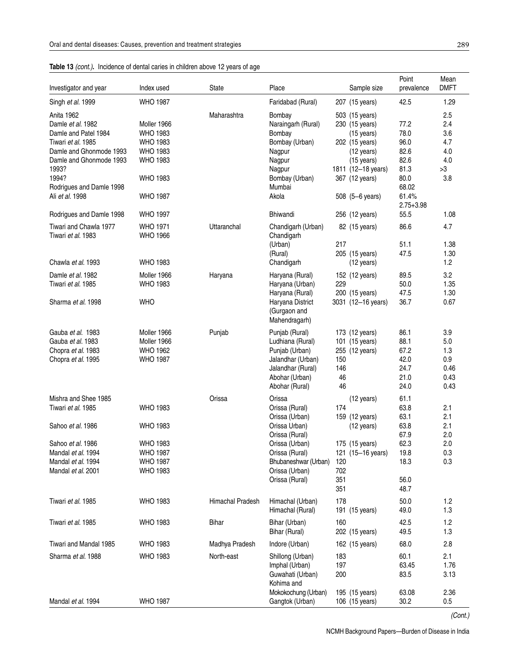| Table 13 (cont.). Incidence of dental caries in children above 12 years of age |  |
|--------------------------------------------------------------------------------|--|
|                                                                                |  |

| Investigator and year    | Index used      | State            | Place                |     | Sample size          | Point<br>prevalence | Mean<br><b>DMFT</b> |
|--------------------------|-----------------|------------------|----------------------|-----|----------------------|---------------------|---------------------|
| Singh et al. 1999        | <b>WHO 1987</b> |                  | Faridabad (Rural)    |     | 207 (15 years)       | 42.5                | 1.29                |
| Anita 1962               |                 | Maharashtra      | Bombay               |     | 503 (15 years)       |                     | 2.5                 |
| Damle et al. 1982        | Moller 1966     |                  | Naraingarh (Rural)   |     | 230 (15 years)       | 77.2                | 2.4                 |
| Damle and Patel 1984     | <b>WHO 1983</b> |                  | Bombay               |     | $(15 \text{ years})$ | 78.0                | 3.6                 |
| Tiwari et al. 1985       | <b>WHO 1983</b> |                  | Bombay (Urban)       |     | 202 (15 years)       | 96.0                | 4.7                 |
| Damle and Ghonmode 1993  | <b>WHO 1983</b> |                  | Nagpur               |     | $(12 \text{ years})$ | 82.6                | 4.0                 |
| Damle and Ghonmode 1993  | <b>WHO 1983</b> |                  |                      |     |                      | 82.6                | 4.0                 |
|                          |                 |                  | Nagpur               |     | $(15 \text{ years})$ |                     |                     |
| 1993?                    |                 |                  | Nagpur               |     | 1811 (12-18 years)   | 81.3                | >3                  |
| 1994?                    | <b>WHO 1983</b> |                  | Bombay (Urban)       |     | 367 (12 years)       | 80.0                | 3.8                 |
| Rodrigues and Damle 1998 |                 |                  | Mumbai               |     |                      | 68.02               |                     |
| Ali et al. 1998          | <b>WHO 1987</b> |                  | Akola                |     | 508 (5-6 years)      | 61.4%               |                     |
|                          |                 |                  |                      |     |                      | $2.75 + 3.98$       |                     |
| Rodrigues and Damle 1998 | <b>WHO 1997</b> |                  | <b>Bhiwandi</b>      |     | 256 (12 years)       | 55.5                | 1.08                |
| Tiwari and Chawla 1977   | <b>WHO 1971</b> | Uttaranchal      | Chandigarh (Urban)   |     | 82 (15 years)        | 86.6                | 4.7                 |
| Tiwari et al. 1983       | <b>WHO 1966</b> |                  | Chandigarh           |     |                      |                     |                     |
|                          |                 |                  | (Urban)              | 217 |                      | 51.1                | 1.38                |
|                          |                 |                  | (Rural)              |     | 205 (15 years)       | 47.5                | 1.30                |
| Chawla et al. 1993       | <b>WHO 1983</b> |                  | Chandigarh           |     | (12 years)           |                     | 1.2                 |
| Damle et al. 1982        | Moller 1966     | Haryana          | Haryana (Rural)      |     | 152 (12 years)       | 89.5                | 3.2                 |
| Tiwari et al. 1985       | <b>WHO 1983</b> |                  | Haryana (Urban)      | 229 |                      | 50.0                | 1.35                |
|                          |                 |                  | Haryana (Rural)      |     | 200 (15 years)       | 47.5                | 1.30                |
| Sharma et al. 1998       | <b>WHO</b>      |                  | Haryana District     |     | 3031 (12-16 years)   | 36.7                | 0.67                |
|                          |                 |                  | (Gurgaon and         |     |                      |                     |                     |
|                          |                 |                  | Mahendragarh)        |     |                      |                     |                     |
|                          |                 |                  |                      |     |                      |                     |                     |
| Gauba et al. 1983        | Moller 1966     | Punjab           | Punjab (Rural)       |     | 173 (12 years)       | 86.1                | 3.9                 |
| Gauba et al. 1983        | Moller 1966     |                  | Ludhiana (Rural)     |     | 101 (15 years)       | 88.1                | 5.0                 |
| Chopra et al. 1983       | <b>WHO 1962</b> |                  | Punjab (Urban)       |     | 255 (12 years)       | 67.2                | 1.3                 |
| Chopra et al. 1995       | <b>WHO 1987</b> |                  | Jalandhar (Urban)    | 150 |                      | 42.0                | 0.9                 |
|                          |                 |                  | Jalandhar (Rural)    | 146 |                      | 24.7                | 0.46                |
|                          |                 |                  | Abohar (Urban)       | 46  |                      | 21.0                | 0.43                |
|                          |                 |                  | Abohar (Rural)       | 46  |                      | 24.0                | 0.43                |
| Mishra and Shee 1985     |                 | Orissa           | Orissa               |     | $(12 \text{ years})$ | 61.1                |                     |
| Tiwari et al. 1985       | <b>WHO 1983</b> |                  | Orissa (Rural)       | 174 |                      | 63.8                | 2.1                 |
|                          |                 |                  | Orissa (Urban)       |     | 159 (12 years)       | 63.1                | 2.1                 |
| Sahoo et al. 1986        | <b>WHO 1983</b> |                  | Orissa Urban)        |     | (12 years)           | 63.8                | 2.1                 |
|                          |                 |                  | Orissa (Rural)       |     |                      | 67.9                | 2.0                 |
|                          |                 |                  |                      |     |                      | 62.3                | 2.0                 |
| Sahoo et al. 1986        | <b>WHO 1983</b> |                  | Orissa (Urban)       |     | 175 (15 years)       |                     |                     |
| Mandal et al. 1994       | <b>WHO 1987</b> |                  | Orissa (Rural)       |     | 121 (15-16 years)    | 19.8                | 0.3                 |
| Mandal et al. 1994       | <b>WHO 1987</b> |                  | Bhubaneshwar (Urban) | 120 |                      | 18.3                | 0.3                 |
| Mandal et al. 2001       | <b>WHO 1983</b> |                  | Orissa (Urban)       | 702 |                      |                     |                     |
|                          |                 |                  | Orissa (Rural)       | 351 |                      | 56.0                |                     |
|                          |                 |                  |                      | 351 |                      | 48.7                |                     |
| Tiwari et al. 1985       | <b>WHO 1983</b> | Himachal Pradesh | Himachal (Urban)     | 178 |                      | 50.0                | 1.2                 |
|                          |                 |                  | Himachal (Rural)     |     | 191 (15 years)       | 49.0                | 1.3                 |
|                          |                 |                  |                      |     |                      |                     |                     |
| Tiwari et al. 1985       | <b>WHO 1983</b> | Bihar            | Bihar (Urban)        | 160 |                      | 42.5                | 1.2                 |
|                          |                 |                  | Bihar (Rural)        |     | 202 (15 years)       | 49.5                | 1.3                 |
| Tiwari and Mandal 1985   | <b>WHO 1983</b> | Madhya Pradesh   | Indore (Urban)       |     | 162 (15 years)       | 68.0                | 2.8                 |
| Sharma et al. 1988       | <b>WHO 1983</b> | North-east       | Shillong (Urban)     | 183 |                      | 60.1                | 2.1                 |
|                          |                 |                  | Imphal (Urban)       | 197 |                      | 63.45               | 1.76                |
|                          |                 |                  | Guwahati (Urban)     | 200 |                      | 83.5                | 3.13                |
|                          |                 |                  | Kohima and           |     |                      |                     |                     |
|                          |                 |                  |                      |     |                      |                     |                     |
|                          |                 |                  | Mokokochung (Urban)  |     | 195 (15 years)       | 63.08               | 2.36                |
| Mandal et al. 1994       | <b>WHO 1987</b> |                  | Gangtok (Urban)      |     | 106 (15 years)       | 30.2                | 0.5                 |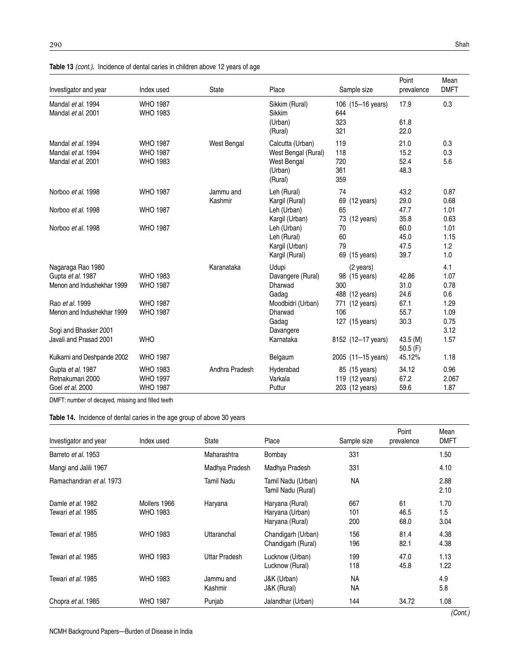| Investigator and year                                                                                                                          | Index used                                                               | State                | Place                                                                                                | Sample size                                                                                    | Point<br>prevalence                           | Mean<br><b>DMFT</b>                                        |
|------------------------------------------------------------------------------------------------------------------------------------------------|--------------------------------------------------------------------------|----------------------|------------------------------------------------------------------------------------------------------|------------------------------------------------------------------------------------------------|-----------------------------------------------|------------------------------------------------------------|
| Mandal et al. 1994<br>Mandal et al. 2001                                                                                                       | <b>WHO 1987</b><br><b>WHO 1983</b>                                       |                      | Sikkim (Rural)<br>Sikkim<br>(Urban)<br>(Rural)                                                       | 106 (15-16 years)<br>644<br>323<br>321                                                         | 17.9<br>61.8<br>22.0                          | 0.3                                                        |
| Mandal et al. 1994<br>Mandal et al. 1994<br>Mandal et al. 2001                                                                                 | <b>WHO 1987</b><br><b>WHO 1987</b><br><b>WHO 1983</b>                    | West Bengal          | Calcutta (Urban)<br>West Bengal (Rural)<br><b>West Bengal</b><br>(Urban)<br>(Rural)                  | 119<br>118<br>720<br>361<br>359                                                                | 21.0<br>15.2<br>52.4<br>48.3                  | 0.3<br>0.3<br>5.6                                          |
| Norboo et al. 1998<br>Norboo et al. 1998                                                                                                       | <b>WHO 1987</b><br><b>WHO 1987</b>                                       | Jammu and<br>Kashmir | Leh (Rural)<br>Kargil (Rural)<br>Leh (Urban)                                                         | 74<br>69 (12 years)<br>65                                                                      | 43.2<br>29.0<br>47.7                          | 0.87<br>0.68<br>1.01                                       |
| Norboo et al. 1998                                                                                                                             | <b>WHO 1987</b>                                                          |                      | Kargil (Urban)<br>Leh (Urban)<br>Leh (Rural)<br>Kargil (Urban)<br>Kargil (Rural)                     | 73 (12 years)<br>70<br>60<br>79<br>69 (15 years)                                               | 35.8<br>60.0<br>45.0<br>47.5<br>39.7          | 0.63<br>1.01<br>1.15<br>1.2<br>1.0                         |
| Nagaraga Rao 1980<br>Gupta et al. 1987<br>Menon and Indushekhar 1999<br>Rao et al. 1999<br>Menon and Indushekhar 1999<br>Sogi and Bhasker 2001 | <b>WHO 1983</b><br><b>WHO 1987</b><br><b>WHO 1987</b><br><b>WHO 1987</b> | Karanataka           | Udupi<br>Davangere (Rural)<br>Dharwad<br>Gadag<br>Moodbidri (Urban)<br>Dharwad<br>Gadag<br>Davangere | (2 years)<br>98 (15 years)<br>300<br>488 (12 years)<br>771 (12 years)<br>106<br>127 (15 years) | 42.86<br>31.0<br>24.6<br>67.1<br>55.7<br>30.3 | 4.1<br>1.07<br>0.78<br>0.6<br>1.29<br>1.09<br>0.75<br>3.12 |
| Javali and Prasad 2001<br>Kulkarni and Deshpande 2002                                                                                          | <b>WHO</b><br><b>WHO 1987</b>                                            |                      | Karnataka<br>Belgaum                                                                                 | 8152 (12-17 years)<br>2005 (11-15 years)                                                       | 43.5 (M)<br>50.5 $(F)$<br>45.12%              | 1.57<br>1.18                                               |
| Gupta et al. 1987<br>Retnakumari 2000<br>Goel et al. 2000                                                                                      | <b>WHO 1983</b><br><b>WHO 1997</b><br><b>WHO 1987</b>                    | Andhra Pradesh       | Hyderabad<br>Varkala<br>Puttur                                                                       | 85 (15 years)<br>119 (12 years)<br>203 (12 years)                                              | 34.12<br>67.2<br>59.6                         | 0.96<br>2.067<br>1.87                                      |

**Table 13** (cont.)**.** Incidence of dental caries in children above 12 years of age

DMFT: number of decayed, missing and filled teeth

| Investigator and year                   | Index used                      | State                | Place                                                 | Sample size            | Point<br>prevalence | Mean<br><b>DMFT</b> |
|-----------------------------------------|---------------------------------|----------------------|-------------------------------------------------------|------------------------|---------------------|---------------------|
| Barreto et al. 1953                     |                                 | Maharashtra          | Bombay                                                | 331                    |                     | 1.50                |
| Mangi and Jalili 1967                   |                                 | Madhya Pradesh       | Madhya Pradesh                                        | 331                    |                     | 4.10                |
| Ramachandran et al. 1973                |                                 | Tamil Nadu           | Tamil Nadu (Urban)<br>Tamil Nadu (Rural)              | NA                     |                     | 2.88<br>2.10        |
| Damle et al. 1982<br>Tewari et al. 1985 | Mollers 1966<br><b>WHO 1983</b> | Haryana              | Haryana (Rural)<br>Haryana (Urban)<br>Haryana (Rural) | 667<br>101<br>200      | 61<br>46.5<br>68.0  | 1.70<br>1.5<br>3.04 |
| Tewari et al. 1985                      | <b>WHO 1983</b>                 | Uttaranchal          | Chandigarh (Urban)<br>Chandigarh (Rural)              | 156<br>196             | 81.4<br>82.1        | 4.38<br>4.38        |
| Tewari et al. 1985                      | <b>WHO 1983</b>                 | Uttar Pradesh        | Lucknow (Urban)<br>Lucknow (Rural)                    | 199<br>118             | 47.0<br>45.8        | 1.13<br>1.22        |
| Tewari et al. 1985                      | <b>WHO 1983</b>                 | Jammu and<br>Kashmir | J&K (Urban)<br>J&K (Rural)                            | <b>NA</b><br><b>NA</b> |                     | 4.9<br>5.8          |
| Chopra et al. 1985                      | <b>WHO 1987</b>                 | Punjab               | Jalandhar (Urban)                                     | 144                    | 34.72               | 1.08                |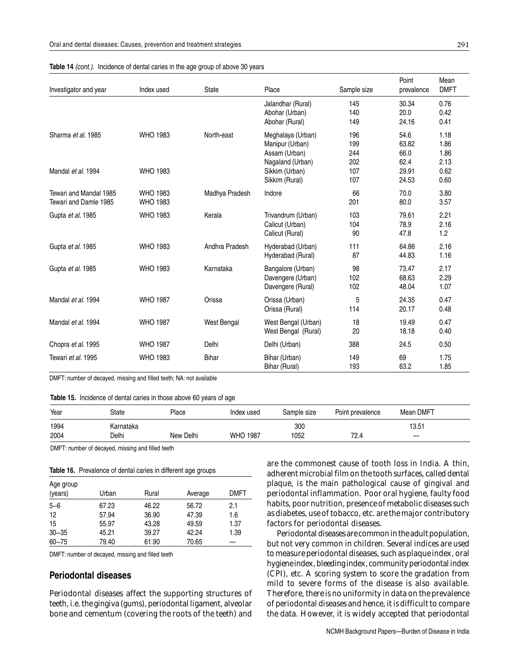| Investigator and year                           | Index used                         | <b>State</b>   | Place                                                                                       | Sample size                     | Point<br>prevalence                    | Mean<br><b>DMFT</b>                  |
|-------------------------------------------------|------------------------------------|----------------|---------------------------------------------------------------------------------------------|---------------------------------|----------------------------------------|--------------------------------------|
|                                                 |                                    |                | Jalandhar (Rural)<br>Abohar (Urban)<br>Abohar (Rural)                                       | 145<br>140<br>149               | 30.34<br>20.0<br>24.16                 | 0.76<br>0.42<br>0.41                 |
| Sharma et al. 1985<br>Mandal et al. 1994        | <b>WHO 1983</b><br><b>WHO 1983</b> | North-east     | Meghalaya (Urban)<br>Manipur (Urban)<br>Assam (Urban)<br>Nagaland (Urban)<br>Sikkim (Urban) | 196<br>199<br>244<br>202<br>107 | 54.6<br>63.82<br>66.0<br>62.4<br>29.91 | 1.18<br>1.86<br>1.86<br>2.13<br>0.62 |
|                                                 |                                    |                | Sikkim (Rural)                                                                              | 107                             | 24.53                                  | 0.60                                 |
| Tewari and Mandal 1985<br>Tewari and Damle 1985 | <b>WHO 1983</b><br><b>WHO 1983</b> | Madhya Pradesh | Indore                                                                                      | 66<br>201                       | 70.0<br>80.0                           | 3.80<br>3.57                         |
| Gupta et al. 1985                               | <b>WHO 1983</b>                    | Kerala         | Trivandrum (Urban)<br>Calicut (Urban)<br>Calicut (Rural)                                    | 103<br>104<br>90                | 79.61<br>78.9<br>47.8                  | 2.21<br>2.16<br>1.2                  |
| Gupta et al. 1985                               | <b>WHO 1983</b>                    | Andhra Pradesh | Hyderabad (Urban)<br>Hyderabad (Rural)                                                      | 111<br>87                       | 64.86<br>44.83                         | 2.16<br>1.16                         |
| Gupta et al. 1985                               | <b>WHO 1983</b>                    | Karnataka      | Bangalore (Urban)<br>Davengere (Urban)<br>Davengere (Rural)                                 | 98<br>102<br>102                | 73.47<br>68.63<br>48.04                | 2.17<br>2.29<br>1.07                 |
| Mandal et al. 1994                              | <b>WHO 1987</b>                    | Orissa         | Orissa (Urban)<br>Orissa (Rural)                                                            | 5<br>114                        | 24.35<br>20.17                         | 0.47<br>0.48                         |
| Mandal et al. 1994                              | <b>WHO 1987</b>                    | West Bengal    | West Bengal (Urban)<br>West Bengal (Rural)                                                  | 18<br>20                        | 19.49<br>18.18                         | 0.47<br>0.40                         |
| Chopra et al. 1995                              | <b>WHO 1987</b>                    | Delhi          | Delhi (Urban)                                                                               | 388                             | 24.5                                   | 0.50                                 |
| Tewari et al. 1995                              | <b>WHO 1983</b>                    | Bihar          | Bihar (Urban)<br>Bihar (Rural)                                                              | 149<br>193                      | 69<br>63.2                             | 1.75<br>1.85                         |

**Table 14** (cont.). Incidence of dental caries in the age group of above 30 years

DMFT: number of decayed, missing and filled teeth; NA: not available

**Table 15.** Incidence of dental caries in those above 60 years of age

| Year | State     | Place     | Index used      | Sample size | Point prevalence | Mean DMFT |
|------|-----------|-----------|-----------------|-------------|------------------|-----------|
| 1994 | Karnataka |           |                 | 300         |                  | 13.51     |
| 2004 | Delhi     | New Delhi | <b>WHO 1987</b> | 1052        | 72.4             | $\sim$    |

DMFT: number of decayed, missing and filled teeth

**Table 16.** Prevalence of dental caries in different age groups

| Age group<br>(years) | Urban | Rural | Average | <b>DMFT</b> |
|----------------------|-------|-------|---------|-------------|
| $5 - 6$              | 67.23 | 46.22 | 56.72   | 2.1         |
| 12                   | 57.94 | 36.90 | 47.39   | 1.6         |
| 15                   | 55.97 | 43.28 | 49.59   | 1.37        |
| $30 - 35$            | 45.21 | 39.27 | 42.24   | 1.39        |
| $60 - 75$            | 79.40 | 61.90 | 70.65   |             |

DMFT: number of decayed, missing and filled teeth

#### **Periodontal diseases**

Periodontal diseases affect the supporting structures of teeth, i.e. the gingiva (gums), periodontal ligament, alveolar bone and cementum (covering the roots of the teeth) and are the commonest cause of tooth loss in India. A thin, adherent microbial film on the tooth surfaces, called dental plaque, is the main pathological cause of gingival and periodontal inflammation. Poor oral hygiene, faulty food habits, poor nutrition, presence of metabolic diseases such as diabetes, use of tobacco, etc. are the major contributory factors for periodontal diseases.

Periodontal diseases are common in the adult population, but not very common in children. Several indices are used to measure periodontal diseases, such as plaque index, oral hygiene index, bleeding index, community periodontal index (CPI), etc. A scoring system to score the gradation from mild to severe forms of the disease is also available. Therefore, there is no uniformity in data on the prevalence of periodontal diseases and hence, it is difficult to compare the data. However, it is widely accepted that periodontal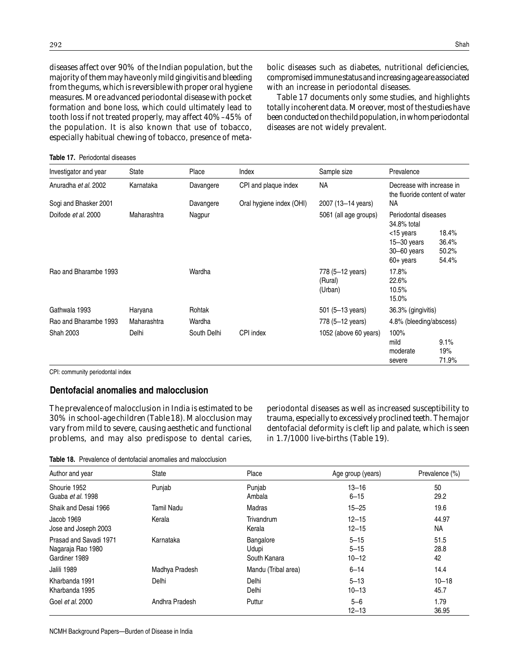diseases affect over 90% of the Indian population, but the majority of them may have only mild gingivitis and bleeding from the gums, which is reversible with proper oral hygiene measures. More advanced periodontal disease with pocket formation and bone loss, which could ultimately lead to tooth loss if not treated properly, may affect 40%–45% of the population. It is also known that use of tobacco, especially habitual chewing of tobacco, presence of metabolic diseases such as diabetes, nutritional deficiencies, compromised immune status and increasing age are associated with an increase in periodontal diseases.

Table 17 documents only some studies, and highlights totally incoherent data. Moreover, most of the studies have been conducted on the child population, in whom periodontal diseases are not widely prevalent.

| Investigator and year | State       | Place       | Index                    | Sample size                            | Prevalence                                                                                                                                |
|-----------------------|-------------|-------------|--------------------------|----------------------------------------|-------------------------------------------------------------------------------------------------------------------------------------------|
| Anuradha et al. 2002  | Karnataka   | Davangere   | CPI and plaque index     | NA                                     | Decrease with increase in<br>the fluoride content of water                                                                                |
| Sogi and Bhasker 2001 |             | Davangere   | Oral hygiene index (OHI) | 2007 (13-14 years)                     | NA.                                                                                                                                       |
| Doifode et al. 2000   | Maharashtra | Nagpur      |                          | 5061 (all age groups)                  | Periodontal diseases<br>34.8% total<br><15 years<br>18.4%<br>36.4%<br>$15 - 30$ years<br>$30 - 60$ years<br>50.2%<br>54.4%<br>$60+$ years |
| Rao and Bharambe 1993 |             | Wardha      |                          | 778 (5-12 years)<br>(Rural)<br>(Urban) | 17.8%<br>22.6%<br>10.5%<br>15.0%                                                                                                          |
| Gathwala 1993         | Haryana     | Rohtak      |                          | 501 (5–13 years)                       | 36.3% (gingivitis)                                                                                                                        |
| Rao and Bharambe 1993 | Maharashtra | Wardha      |                          | 778 (5-12 years)                       | 4.8% (bleeding/abscess)                                                                                                                   |
| Shah 2003             | Delhi       | South Delhi | CPI index                | 1052 (above 60 years)                  | 100%<br>mild<br>9.1%<br>19%<br>moderate<br>71.9%<br>severe                                                                                |

CPI: community periodontal index

#### **Dentofacial anomalies and malocclusion**

The prevalence of malocclusion in India is estimated to be 30% in school-age children (Table 18). Malocclusion may vary from mild to severe, causing aesthetic and functional problems, and may also predispose to dental caries, periodontal diseases as well as increased susceptibility to trauma, especially to excessively proclined teeth. The major dentofacial deformity is cleft lip and palate, which is seen in 1.7/1000 live-births (Table 19).

**Table 18.** Prevalence of dentofacial anomalies and malocclusion

| Author and year        | State          | Place               | Age group (years)    | Prevalence (%) |
|------------------------|----------------|---------------------|----------------------|----------------|
| Shourie 1952           | Punjab         | Punjab              | $13 - 16$            | 50             |
| Guaba et al. 1998      |                | Ambala              | $6 - 15$             | 29.2           |
| Shaik and Desai 1966   | Tamil Nadu     | Madras              | $15 - 25$            | 19.6           |
| Jacob 1969             | Kerala         | Trivandrum          | $12 - 15$            | 44.97          |
| Jose and Joseph 2003   |                | Kerala              | $12 - 15$            | NA.            |
| Prasad and Savadi 1971 | Karnataka      | Bangalore           | $5 - 15$             | 51.5           |
| Nagaraja Rao 1980      |                | Udupi               | $5 - 15$             | 28.8           |
| Gardiner 1989          |                | South Kanara        | $10 - 12$            | 42             |
| Jalili 1989            | Madhya Pradesh | Mandu (Tribal area) | $6 - 14$             | 14.4           |
| Kharbanda 1991         | Delhi          | Delhi               | $5 - 13$             | $10 - 18$      |
| Kharbanda 1995         |                | Delhi               | $10 - 13$            | 45.7           |
| Goel et al. 2000       | Andhra Pradesh | Puttur              | $5 - 6$<br>$12 - 13$ | 1.79<br>36.95  |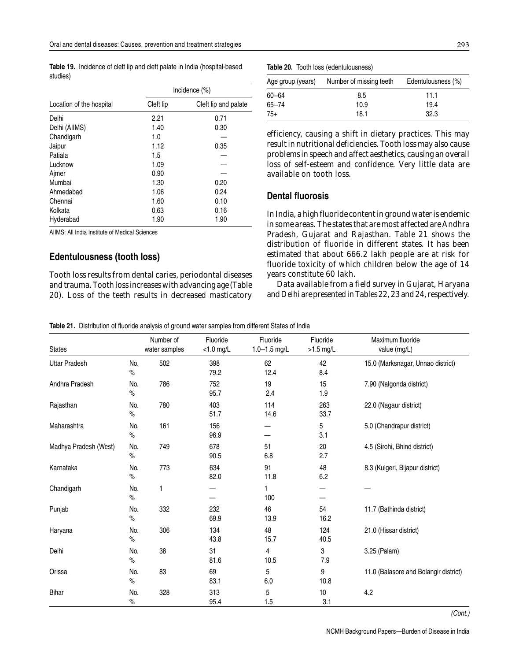**Table 19.** Incidence of cleft lip and cleft palate in India (hospital-based studies)

|                          | Incidence (%) |                      |  |  |
|--------------------------|---------------|----------------------|--|--|
| Location of the hospital | Cleft lip     | Cleft lip and palate |  |  |
| Delhi                    | 2.21          | 0.71                 |  |  |
| Delhi (AllMS)            | 1.40          | 0.30                 |  |  |
| Chandigarh               | 1.0           |                      |  |  |
| Jaipur                   | 1.12          | 0.35                 |  |  |
| Patiala                  | 1.5           |                      |  |  |
| Lucknow                  | 1.09          |                      |  |  |
| Ajmer                    | 0.90          |                      |  |  |
| Mumbai                   | 1.30          | 0.20                 |  |  |
| Ahmedabad                | 1.06          | 0.24                 |  |  |
| Chennai                  | 1.60          | 0.10                 |  |  |
| Kolkata                  | 0.63          | 0.16                 |  |  |
| Hyderabad                | 1.90          | 1.90                 |  |  |

AIIMS: All India Institute of Medical Sciences

### **Edentulousness (tooth loss)**

Tooth loss results from dental caries, periodontal diseases and trauma. Tooth loss increases with advancing age (Table 20). Loss of the teeth results in decreased masticatory **Table 20.** Tooth loss (edentulousness)

| Number of missing teeth | Edentulousness (%) |
|-------------------------|--------------------|
| 8.5                     | 11.1               |
| 10.9                    | 19.4               |
| 18.1                    | 32.3               |
|                         |                    |

efficiency, causing a shift in dietary practices. This may result in nutritional deficiencies. Tooth loss may also cause problems in speech and affect aesthetics, causing an overall loss of self-esteem and confidence. Very little data are available on tooth loss.

### **Dental fluorosis**

In India, a high fluoride content in ground water is endemic in some areas. The states that are most affected are Andhra Pradesh, Gujarat and Rajasthan. Table 21 shows the distribution of fluoride in different states. It has been estimated that about 666.2 lakh people are at risk for fluoride toxicity of which children below the age of 14 years constitute 60 lakh.

Data available from a field survey in Gujarat, Haryana and Delhi are presented in Tables 22, 23 and 24, respectively.

**Table 21.** Distribution of fluoride analysis of ground water samples from different States of India

| <b>States</b>         |             | Number of<br>water samples | Fluoride<br>$<$ 1.0 mg/L | Fluoride<br>$1.0 - 1.5$ mg/L | Fluoride<br>>1.5 mg/L | Maximum fluoride<br>value (mg/L)      |
|-----------------------|-------------|----------------------------|--------------------------|------------------------------|-----------------------|---------------------------------------|
| <b>Uttar Pradesh</b>  | No.<br>$\%$ | 502                        | 398<br>79.2              | 62<br>12.4                   | 42<br>8.4             | 15.0 (Marksnagar, Unnao district)     |
| Andhra Pradesh        | No.<br>%    | 786                        | 752<br>95.7              | 19<br>2.4                    | 15<br>1.9             | 7.90 (Nalgonda district)              |
| Rajasthan             | No.<br>$\%$ | 780                        | 403<br>51.7              | 114<br>14.6                  | 263<br>33.7           | 22.0 (Nagaur district)                |
| Maharashtra           | No.<br>$\%$ | 161                        | 156<br>96.9              |                              | 5<br>3.1              | 5.0 (Chandrapur district)             |
| Madhya Pradesh (West) | No.<br>$\%$ | 749                        | 678<br>90.5              | 51<br>6.8                    | 20<br>2.7             | 4.5 (Sirohi, Bhind district)          |
| Karnataka             | No.<br>$\%$ | 773                        | 634<br>82.0              | 91<br>11.8                   | 48<br>6.2             | 8.3 (Kulgeri, Bijapur district)       |
| Chandigarh            | No.<br>$\%$ | 1                          |                          | 1<br>100                     |                       |                                       |
| Punjab                | No.<br>$\%$ | 332                        | 232<br>69.9              | 46<br>13.9                   | 54<br>16.2            | 11.7 (Bathinda district)              |
| Haryana               | No.<br>$\%$ | 306                        | 134<br>43.8              | 48<br>15.7                   | 124<br>40.5           | 21.0 (Hissar district)                |
| Delhi                 | No.<br>$\%$ | 38                         | 31<br>81.6               | 4<br>10.5                    | 3<br>7.9              | 3.25 (Palam)                          |
| Orissa                | No.<br>$\%$ | 83                         | 69<br>83.1               | 5<br>6.0                     | 9<br>10.8             | 11.0 (Balasore and Bolangir district) |
| <b>Bihar</b>          | No.<br>$\%$ | 328                        | 313<br>95.4              | 5<br>1.5                     | 10<br>3.1             | $4.2\,$                               |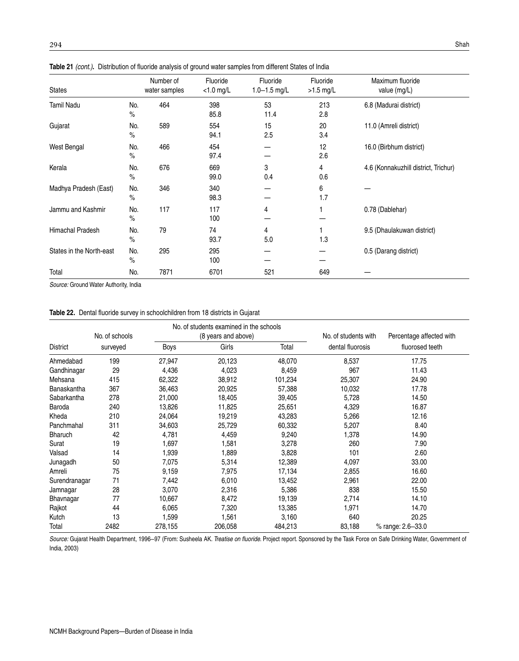| <b>States</b>            |             | Number of<br>water samples | Fluoride<br>$<$ 1.0 mg/L | Fluoride<br>$1.0 - 1.5$ mg/L | Fluoride<br>$>1.5$ mg/L | Maximum fluoride<br>value (mg/L)     |
|--------------------------|-------------|----------------------------|--------------------------|------------------------------|-------------------------|--------------------------------------|
| <b>Tamil Nadu</b>        | No.<br>$\%$ | 464                        | 398<br>85.8              | 53<br>11.4                   | 213<br>2.8              | 6.8 (Madurai district)               |
| Gujarat                  | No.<br>$\%$ | 589                        | 554<br>94.1              | 15<br>2.5                    | 20<br>3.4               | 11.0 (Amreli district)               |
| West Bengal              | No.<br>$\%$ | 466                        | 454<br>97.4              |                              | 12<br>2.6               | 16.0 (Birbhum district)              |
| Kerala                   | No.<br>$\%$ | 676                        | 669<br>99.0              | 3<br>0.4                     | 4<br>0.6                | 4.6 (Konnakuzhill district, Trichur) |
| Madhya Pradesh (East)    | No.<br>$\%$ | 346                        | 340<br>98.3              |                              | 6<br>1.7                |                                      |
| Jammu and Kashmir        | No.<br>$\%$ | 117                        | 117<br>100               | 4                            |                         | 0.78 (Dablehar)                      |
| Himachal Pradesh         | No.<br>$\%$ | 79                         | 74<br>93.7               | 4<br>5.0                     | 1.3                     | 9.5 (Dhaulakuwan district)           |
| States in the North-east | No.<br>$\%$ | 295                        | 295<br>100               |                              |                         | 0.5 (Darang district)                |
| Total                    | No.         | 7871                       | 6701                     | 521                          | 649                     |                                      |

Table 21 (cont.). Distribution of fluoride analysis of ground water samples from different States of India

Source: Ground Water Authority, India

|  |  |  |  | <b>Table 22.</b> Dental fluoride survey in schoolchildren from 18 districts in Gujarat |
|--|--|--|--|----------------------------------------------------------------------------------------|
|--|--|--|--|----------------------------------------------------------------------------------------|

|                 | No. of schools |             | No, of students examined in the schools<br>(8 years and above) |         | No. of students with | Percentage affected with |  |
|-----------------|----------------|-------------|----------------------------------------------------------------|---------|----------------------|--------------------------|--|
| <b>District</b> | surveyed       | <b>Boys</b> | Girls                                                          | Total   | dental fluorosis     | fluorosed teeth          |  |
| Ahmedabad       | 199            | 27,947      | 20,123                                                         | 48,070  | 8,537                | 17.75                    |  |
| Gandhinagar     | 29             | 4,436       | 4,023                                                          | 8,459   | 967                  | 11.43                    |  |
| Mehsana         | 415            | 62,322      | 38,912                                                         | 101,234 | 25,307               | 24.90                    |  |
| Banaskantha     | 367            | 36,463      | 20,925                                                         | 57,388  | 10,032               | 17.78                    |  |
| Sabarkantha     | 278            | 21,000      | 18,405                                                         | 39,405  | 5,728                | 14.50                    |  |
| Baroda          | 240            | 13,826      | 11,825                                                         | 25,651  | 4,329                | 16.87                    |  |
| Kheda           | 210            | 24,064      | 19,219                                                         | 43,283  | 5,266                | 12.16                    |  |
| Panchmahal      | 311            | 34,603      | 25,729                                                         | 60,332  | 5,207                | 8.40                     |  |
| <b>Bharuch</b>  | 42             | 4,781       | 4,459                                                          | 9,240   | 1,378                | 14.90                    |  |
| Surat           | 19             | 1,697       | 1,581                                                          | 3,278   | 260                  | 7.90                     |  |
| Valsad          | 14             | 1,939       | 1,889                                                          | 3,828   | 101                  | 2.60                     |  |
| Junagadh        | 50             | 7,075       | 5,314                                                          | 12,389  | 4,097                | 33.00                    |  |
| Amreli          | 75             | 9,159       | 7,975                                                          | 17,134  | 2,855                | 16.60                    |  |
| Surendranagar   | 71             | 7,442       | 6,010                                                          | 13,452  | 2,961                | 22.00                    |  |
| Jamnagar        | 28             | 3,070       | 2,316                                                          | 5,386   | 838                  | 15.50                    |  |
| Bhavnagar       | 77             | 10,667      | 8,472                                                          | 19,139  | 2,714                | 14.10                    |  |
| Rajkot          | 44             | 6,065       | 7,320                                                          | 13,385  | 1,971                | 14.70                    |  |
| Kutch           | 13             | 1,599       | 1,561                                                          | 3,160   | 640                  | 20.25                    |  |
| Total           | 2482           | 278,155     | 206,058                                                        | 484,213 | 83,188               | % range: 2.6-33.0        |  |

Source: Gujarat Health Department, 1996-97 (From: Susheela AK. Treatise on fluoride. Project report. Sponsored by the Task Force on Safe Drinking Water, Government of India, 2003)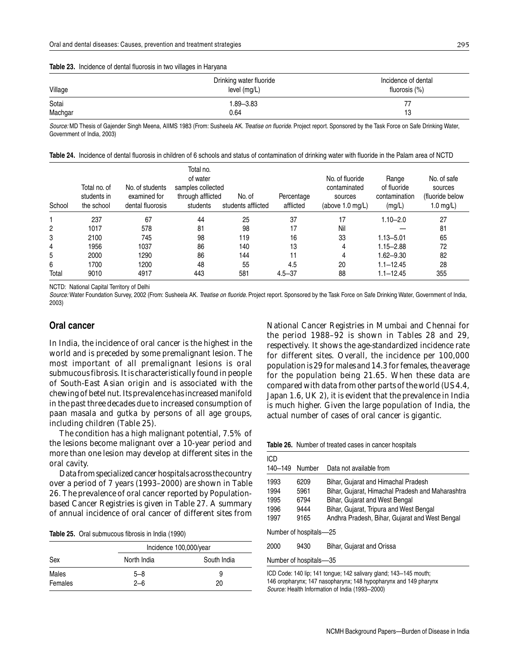#### **Table 23.** Incidence of dental fluorosis in two villages in Haryana

| Village | Drinking water fluoride<br>level (mg/L) | Incidence of dental<br>fluorosis (%) |
|---------|-----------------------------------------|--------------------------------------|
| Sotai   | $1.89 - 3.83$                           |                                      |
| Machgar | 0.64                                    | 13                                   |

Source: MD Thesis of Gajender Singh Meena, AIIMS 1983 (From: Susheela AK. Treatise on fluoride. Project report. Sponsored by the Task Force on Safe Drinking Water, Government of India, 2003)

| Table 24. Incidence of dental fluorosis in children of 6 schools and status of contamination of drinking water with fluoride in the Palam area of NCTD |  |
|--------------------------------------------------------------------------------------------------------------------------------------------------------|--|
|--------------------------------------------------------------------------------------------------------------------------------------------------------|--|

| School | Total no, of<br>students in<br>the school | No. of students<br>examined for<br>dental fluorosis | Total no.<br>of water<br>samples collected<br>through afflicted<br>students | No. of<br>students afflicted | Percentage<br>afflicted | No. of fluoride<br>contaminated<br>sources<br>(above 1.0 mg/L) | Range<br>of fluoride<br>contamination<br>(mg/L) | No. of safe<br>sources<br>(fluoride below<br>1.0 $mg/L$ ) |
|--------|-------------------------------------------|-----------------------------------------------------|-----------------------------------------------------------------------------|------------------------------|-------------------------|----------------------------------------------------------------|-------------------------------------------------|-----------------------------------------------------------|
|        | 237                                       | 67                                                  | 44                                                                          | 25                           | 37                      | 17                                                             | $1.10 - 2.0$                                    | 27                                                        |
| 2      | 1017                                      | 578                                                 | 81                                                                          | 98                           | 17                      | Nil                                                            |                                                 | 81                                                        |
| 3      | 2100                                      | 745                                                 | 98                                                                          | 119                          | 16                      | 33                                                             | $1.13 - 5.01$                                   | 65                                                        |
| 4      | 1956                                      | 1037                                                | 86                                                                          | 140                          | 13                      | 4                                                              | $1.15 - 2.88$                                   | 72                                                        |
| 5      | 2000                                      | 1290                                                | 86                                                                          | 144                          | 11                      | 4                                                              | $1.62 - 9.30$                                   | 82                                                        |
| 6      | 1700                                      | 1200                                                | 48                                                                          | 55                           | 4.5                     | 20                                                             | $1.1 - 12.45$                                   | 28                                                        |
| Total  | 9010                                      | 4917                                                | 443                                                                         | 581                          | $4.5 - 37$              | 88                                                             | $1.1 - 12.45$                                   | 355                                                       |

NCTD: National Capital Territory of Delhi

Source: Water Foundation Survey, 2002 (From: Susheela AK. Treatise on fluoride. Project report. Sponsored by the Task Force on Safe Drinking Water, Government of India, 2003)

#### **Oral cancer**

In India, the incidence of oral cancer is the highest in the world and is preceded by some premalignant lesion. The most important of all premalignant lesions is oral submucous fibrosis. It is characteristically found in people of South-East Asian origin and is associated with the chewing of betel nut. Its prevalence has increased manifold in the past three decades due to increased consumption of *paan masala* and *gutka* by persons of all age groups, including children (Table 25).

The condition has a high malignant potential, 7.5% of the lesions become malignant over a 10-year period and more than one lesion may develop at different sites in the oral cavity.

Data from specialized cancer hospitals across the country over a period of 7 years (1993–2000) are shown in Table 26. The prevalence of oral cancer reported by Populationbased Cancer Registries is given in Table 27. A summary of annual incidence of oral cancer of different sites from

|  | Table 25. Oral submucous fibrosis in India (1990) |  |
|--|---------------------------------------------------|--|
|--|---------------------------------------------------|--|

|         | Incidence 100,000/year |             |  |  |  |  |  |
|---------|------------------------|-------------|--|--|--|--|--|
| Sex     | North India            | South India |  |  |  |  |  |
| Males   | $5 - 8$                | 9           |  |  |  |  |  |
| Females | $2 - 6$                | 20          |  |  |  |  |  |

National Cancer Registries in Mumbai and Chennai for the period 1988–92 is shown in Tables 28 and 29, respectively. It shows the age-standardized incidence rate for different sites. Overall, the incidence per 100,000 population is 29 for males and 14.3 for females, the average for the population being 21.65. When these data are compared with data from other parts of the world (US 4.4, Japan 1.6, UK 2), it is evident that the prevalence in India is much higher. Given the large population of India, the actual number of cases of oral cancer is gigantic.

**Table 26.** Number of treated cases in cancer hospitals

| ICD<br>140-149 | Number                 | Data not available from                                                                   |
|----------------|------------------------|-------------------------------------------------------------------------------------------|
| 1993<br>1994   | 6209<br>5961           | Bihar, Gujarat and Himachal Pradesh<br>Bihar, Gujarat, Himachal Pradesh and Maharashtra   |
| 1995           | 6794                   | Bihar, Gujarat and West Bengal                                                            |
| 1996<br>1997   | 9444<br>9165           | Bihar, Gujarat, Tripura and West Bengal<br>Andhra Pradesh, Bihar, Gujarat and West Bengal |
|                | Number of hospitals-25 |                                                                                           |
| 2000           | 9430                   | Bihar, Gujarat and Orissa                                                                 |

Number of hospitals—35

ICD Code: 140 lip; 141 tongue; 142 salivary gland; 143–145 mouth; 146 oropharynx; 147 nasopharynx; 148 hypopharynx and 149 pharynx Source: Health Information of India (1993–2000)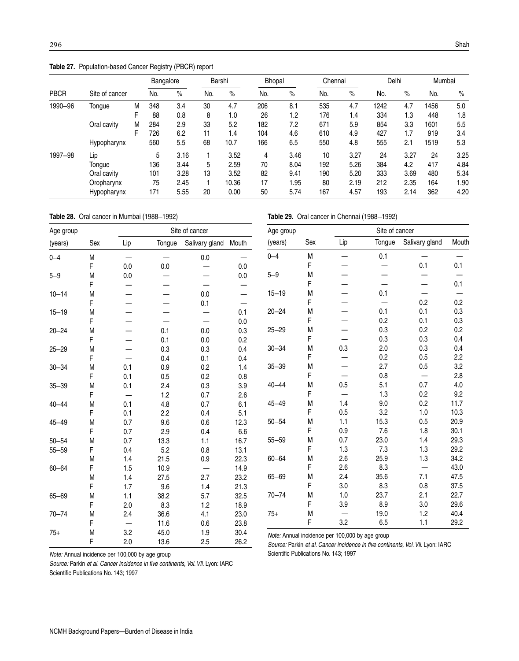**Table 27.** Population-based Cancer Registry (PBCR) report

|             |                |   | Bangalore |      |     | Barshi | <b>Bhopal</b> |      | Chennai |      | Delhi |      | Mumbai |      |
|-------------|----------------|---|-----------|------|-----|--------|---------------|------|---------|------|-------|------|--------|------|
| <b>PBCR</b> | Site of cancer |   | No.       | $\%$ | No. | $\%$   | No.           | $\%$ | No.     | $\%$ | No.   | $\%$ | No.    | $\%$ |
| 1990-96     | Tongue         | Μ | 348       | 3.4  | 30  | 4.7    | 206           | 8.1  | 535     | 4.7  | 1242  | 4.7  | 1456   | 5.0  |
|             |                |   | 88        | 0.8  | 8   | 1.0    | 26            | 1.2  | 176     | 1.4  | 334   | 1.3  | 448    | 1.8  |
|             | Oral cavity    | М | 284       | 2.9  | 33  | 5.2    | 182           | 7.2  | 671     | 5.9  | 854   | 3.3  | 1601   | 5.5  |
|             |                |   | 726       | 6.2  | 11  | 1.4    | 104           | 4.6  | 610     | 4.9  | 427   | 1.7  | 919    | 3.4  |
|             | Hypopharynx    |   | 560       | 5.5  | 68  | 10.7   | 166           | 6.5  | 550     | 4.8  | 555   | 2.1  | 1519   | 5.3  |
| 1997-98     | Lip            |   | 5         | 3.16 |     | 3.52   | 4             | 3.46 | 10      | 3.27 | 24    | 3.27 | 24     | 3.25 |
|             | Tongue         |   | 136       | 3.44 | 5   | 2.59   | 70            | 8.04 | 192     | 5.26 | 384   | 4.2  | 417    | 4.84 |
|             | Oral cavity    |   | 101       | 3.28 | 13  | 3.52   | 82            | 9.41 | 190     | 5.20 | 333   | 3.69 | 480    | 5.34 |
|             | Oropharynx     |   | 75        | 2.45 |     | 10.36  | 17            | 1.95 | 80      | 2.19 | 212   | 2.35 | 164    | 1.90 |
|             | Hypopharynx    |   | 171       | 5.55 | 20  | 0.00   | 50            | 5.74 | 167     | 4.57 | 193   | 2.14 | 362    | 4.20 |

**Table 28.** Oral cancer in Mumbai (1988–1992)

**Table 29.** Oral cancer in Chennai (1988–1992)

| Age group |           |     |                                | Site of cancer |                        | Age group |     | Site of cancer                                  |        |                          |       |
|-----------|-----------|-----|--------------------------------|----------------|------------------------|-----------|-----|-------------------------------------------------|--------|--------------------------|-------|
| (years)   | Sex       | Lip | Tongue                         | Salivary gland | Mouth                  | (years)   | Sex | Lip                                             | Tongue | Salivary gland           | Mouth |
| $0 - 4$   | M         | —   | $\qquad \qquad \longleftarrow$ | $0.0\,$        |                        | $0 - 4$   | M   |                                                 | 0.1    |                          |       |
|           | F         | 0.0 | 0.0                            | —              | 0.0                    |           | F   |                                                 |        | 0.1                      | 0.1   |
| $5 - 9$   | M         | 0.0 | —                              |                | 0.0                    | $5 - 9$   | M   |                                                 |        |                          |       |
|           | F         |     |                                |                |                        |           | F   |                                                 |        | —                        | 0.1   |
| $10 - 14$ | M         |     |                                | 0.0            | $\qquad \qquad \qquad$ | $15 - 19$ | M   |                                                 | 0.1    |                          |       |
|           | F         |     | —                              | 0.1            | —                      |           | F   |                                                 |        | 0.2                      | 0.2   |
| $15 - 19$ | M         |     | –                              |                | 0.1                    | $20 - 24$ | M   |                                                 | 0.1    | 0.1                      | 0.3   |
|           | F         |     | $\overline{\phantom{0}}$       | —              | 0.0                    |           | F   |                                                 | 0.2    | 0.1                      | 0.3   |
| $20 - 24$ | M         |     | 0.1                            | 0.0            | 0.3                    | $25 - 29$ | M   |                                                 | 0.3    | 0.2                      | 0.2   |
|           | F         |     | 0.1                            | 0.0            | 0.2                    |           | F   |                                                 | 0.3    | 0.3                      | 0.4   |
| $25 - 29$ | M         |     | 0.3                            | 0.3            | 0.4                    | $30 - 34$ | M   | 0.3                                             | 2.0    | 0.3                      | 0.4   |
|           | F         |     | 0.4                            | 0.1            | 0.4                    |           | F   |                                                 | 0.2    | 0.5                      | 2.2   |
| $30 - 34$ | M         | 0.1 | 0.9                            | 0.2            | 1.4                    | $35 - 39$ | M   |                                                 | 2.7    | 0.5                      | 3.2   |
|           | F         | 0.1 | 0.5                            | 0.2            | 0.8                    |           | F   |                                                 | 0.8    |                          | 2.8   |
| $35 - 39$ | M         | 0.1 | 2.4                            | 0.3            | 3.9                    | $40 - 44$ | М   | 0.5                                             | 5.1    | 0.7                      | 4.0   |
|           | F         | —   | 1.2                            | 0.7            | 2.6                    |           | F   | —                                               | 1.3    | 0.2                      | 9.2   |
| $40 - 44$ | ${\sf M}$ | 0.1 | 4.8                            | 0.7            | 6.1                    | $45 - 49$ | M   | 1.4                                             | 9.0    | 0.2                      | 11.7  |
|           | F         | 0.1 | 2.2                            | 0.4            | 5.1                    |           | F   | 0.5                                             | 3.2    | 1.0                      | 10.3  |
| $45 - 49$ | M         | 0.7 | 9.6                            | 0.6            | 12.3                   | $50 - 54$ | Μ   | 1.1                                             | 15.3   | 0.5                      | 20.9  |
|           | F         | 0.7 | 2.9                            | 0.4            | 6.6                    |           | F   | 0.9                                             | 7.6    | 1.8                      | 30.1  |
| $50 - 54$ | M         | 0.7 | 13.3                           | 1.1            | 16.7                   | $55 - 59$ | Μ   | 0.7                                             | 23.0   | 1.4                      | 29.3  |
| $55 - 59$ | F         | 0.4 | 5.2                            | 0.8            | 13.1                   |           | F   | 1.3                                             | 7.3    | 1.3                      | 29.2  |
|           | M         | 1.4 | 21.5                           | 0.9            | 22.3                   | $60 - 64$ | М   | 2.6                                             | 25.9   | 1.3                      | 34.2  |
| $60 - 64$ | F         | 1.5 | 10.9                           | —              | 14.9                   |           | F   | 2.6                                             | 8.3    | $\overline{\phantom{0}}$ | 43.0  |
|           | M         | 1.4 | 27.5                           | 2.7            | 23.2                   | $65 - 69$ | М   | 2.4                                             | 35.6   | 7.1                      | 47.5  |
|           | F         | 1.7 | 9.6                            | 1.4            | 21.3                   |           | F   | 3.0                                             | 8.3    | 0.8                      | 37.5  |
| $65 - 69$ | M         | 1.1 | 38.2                           | 5.7            | 32.5                   | $70 - 74$ | M   | 1.0                                             | 23.7   | 2.1                      | 22.7  |
|           | F         | 2.0 | 8.3                            | 1.2            | 18.9                   |           | F   | 3.9                                             | 8.9    | 3.0                      | 29.6  |
| $70 - 74$ | M         | 2.4 | 36.6                           | 4.1            | 23.0                   | $75+$     | Μ   |                                                 | 19.0   | 1.2                      | 40.4  |
|           | F         |     | 11.6                           | 0.6            | 23.8                   |           | F   | 3.2                                             | 6.5    | 1.1                      | 29.2  |
| $75+$     | ${\sf M}$ | 3.2 | 45.0                           | 1.9            | 30.4                   |           |     | Note: Annual incidence per 100,000 by age group |        |                          |       |

Source: Parkin et al. Cancer incidence in five continents, Vol. Vll. Lyon: IARC Scientific Publications No. 143; 1997

Note: Annual incidence per 100,000 by age group

Source: Parkin et al. Cancer incidence in five continents, Vol. Vll. Lyon: IARC Scientific Publications No. 143; 1997

F 2.0 13.6 2.5 26.2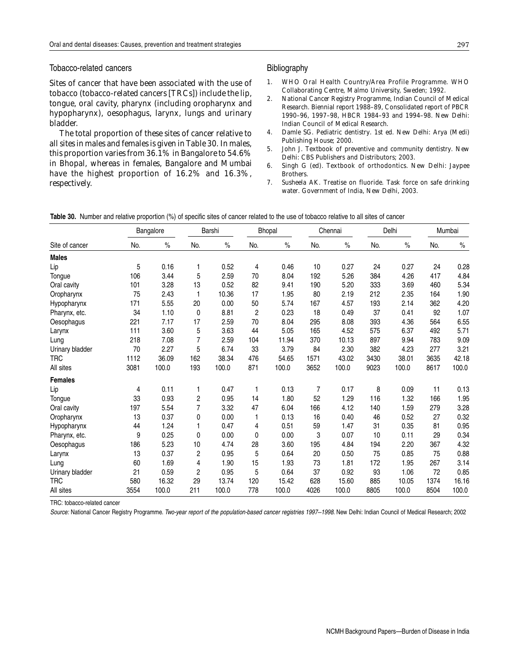#### Tobacco-related cancers

Sites of cancer that have been associated with the use of tobacco (tobacco-related cancers [TRCs]) include the lip, tongue, oral cavity, pharynx (including oropharynx and hypopharynx), oesophagus, larynx, lungs and urinary bladder.

The total proportion of these sites of cancer relative to all sites in males and females is given in Table 30. In males, this proportion varies from 36.1% in Bangalore to 54.6% in Bhopal, whereas in females, Bangalore and Mumbai have the highest proportion of 16.2% and 16.3%, respectively.

#### Bibliography

- 1. WHO Oral Health Country/Area Profile Programme. WHO Collaborating Centre, Malmo University, Sweden; 1992.
- 2. National Cancer Registry Programme, Indian Council of Medical Research. Biennial report 1988–89, Consolidated report of PBCR 1990–96, 1997–98, HBCR 1984–93 and 1994–98. New Delhi: Indian Council of Medical Research.
- 4. Damle SG. *Pediatric dentistry*. 1st ed. New Delhi: Arya (Medi) Publishing House; 2000.
- 5. John J. *Textbook of preventive and community dentistry*. New Delhi: CBS Publishers and Distributors; 2003.
- 6. Singh G (ed). *Textbook of orthodontics*. New Delhi: Jaypee Brothers.
- 7. Susheela AK. *Treatise on fluoride. Task force on safe drinking water*. Government of India, New Delhi, 2003.

|                 | Bangalore |       | Barshi                  |       | Bhopal         |       | Chennai |       | Delhi |       | Mumbai |       |
|-----------------|-----------|-------|-------------------------|-------|----------------|-------|---------|-------|-------|-------|--------|-------|
| Site of cancer  | No.       | $\%$  | No.                     | $\%$  | No.            | $\%$  | No.     | $\%$  | No.   | $\%$  | No.    | $\%$  |
| <b>Males</b>    |           |       |                         |       |                |       |         |       |       |       |        |       |
| Lip             | 5         | 0.16  | 1                       | 0.52  | 4              | 0.46  | 10      | 0.27  | 24    | 0.27  | 24     | 0.28  |
| Tongue          | 106       | 3.44  | 5                       | 2.59  | 70             | 8.04  | 192     | 5.26  | 384   | 4.26  | 417    | 4.84  |
| Oral cavity     | 101       | 3.28  | 13                      | 0.52  | 82             | 9.41  | 190     | 5.20  | 333   | 3.69  | 460    | 5.34  |
| Oropharynx      | 75        | 2.43  | 1                       | 10.36 | 17             | 1.95  | 80      | 2.19  | 212   | 2.35  | 164    | 1.90  |
| Hypopharynx     | 171       | 5.55  | 20                      | 0.00  | 50             | 5.74  | 167     | 4.57  | 193   | 2.14  | 362    | 4.20  |
| Pharynx, etc.   | 34        | 1.10  | 0                       | 8.81  | $\overline{c}$ | 0.23  | 18      | 0.49  | 37    | 0.41  | 92     | 1.07  |
| Oesophagus      | 221       | 7.17  | 17                      | 2.59  | 70             | 8.04  | 295     | 8.08  | 393   | 4.36  | 564    | 6.55  |
| Larynx          | 111       | 3.60  | 5                       | 3.63  | 44             | 5.05  | 165     | 4.52  | 575   | 6.37  | 492    | 5.71  |
| Lung            | 218       | 7.08  | 7                       | 2.59  | 104            | 11.94 | 370     | 10.13 | 897   | 9.94  | 783    | 9.09  |
| Urinary bladder | 70        | 2.27  | 5                       | 6.74  | 33             | 3.79  | 84      | 2.30  | 382   | 4.23  | 277    | 3.21  |
| <b>TRC</b>      | 1112      | 36.09 | 162                     | 38.34 | 476            | 54.65 | 1571    | 43.02 | 3430  | 38.01 | 3635   | 42.18 |
| All sites       | 3081      | 100.0 | 193                     | 100.0 | 871            | 100.0 | 3652    | 100.0 | 9023  | 100.0 | 8617   | 100.0 |
| <b>Females</b>  |           |       |                         |       |                |       |         |       |       |       |        |       |
| Lip             | 4         | 0.11  | 1                       | 0.47  | 1              | 0.13  | 7       | 0.17  | 8     | 0.09  | 11     | 0.13  |
| Tongue          | 33        | 0.93  | $\overline{\mathbf{c}}$ | 0.95  | 14             | 1.80  | 52      | 1.29  | 116   | 1.32  | 166    | 1.95  |
| Oral cavity     | 197       | 5.54  | 7                       | 3.32  | 47             | 6.04  | 166     | 4.12  | 140   | 1.59  | 279    | 3.28  |
| Oropharynx      | 13        | 0.37  | 0                       | 0.00  |                | 0.13  | 16      | 0.40  | 46    | 0.52  | 27     | 0.32  |
| Hypopharynx     | 44        | 1.24  | 1                       | 0.47  | 4              | 0.51  | 59      | 1.47  | 31    | 0.35  | 81     | 0.95  |
| Pharynx, etc.   | 9         | 0.25  | 0                       | 0.00  | 0              | 0.00  | 3       | 0.07  | 10    | 0.11  | 29     | 0.34  |
| Oesophagus      | 186       | 5.23  | 10                      | 4.74  | 28             | 3.60  | 195     | 4.84  | 194   | 2.20  | 367    | 4.32  |
| Larynx          | 13        | 0.37  | 2                       | 0.95  | 5              | 0.64  | 20      | 0.50  | 75    | 0.85  | 75     | 0.88  |
| Lung            | 60        | 1.69  | 4                       | 1.90  | 15             | 1.93  | 73      | 1.81  | 172   | 1.95  | 267    | 3.14  |
| Urinary bladder | 21        | 0.59  | $\overline{c}$          | 0.95  | 5              | 0.64  | 37      | 0.92  | 93    | 1.06  | 72     | 0.85  |
| <b>TRC</b>      | 580       | 16.32 | 29                      | 13.74 | 120            | 15.42 | 628     | 15.60 | 885   | 10.05 | 1374   | 16.16 |
| All sites       | 3554      | 100.0 | 211                     | 100.0 | 778            | 100.0 | 4026    | 100.0 | 8805  | 100.0 | 8504   | 100.0 |

**Table 30.** Number and relative proportion (%) of specific sites of cancer related to the use of tobacco relative to all sites of cancer

TRC: tobacco-related cancer

Source: National Cancer Registry Programme. Two-year report of the population-based cancer registries 1997-1998. New Delhi: Indian Council of Medical Research; 2002